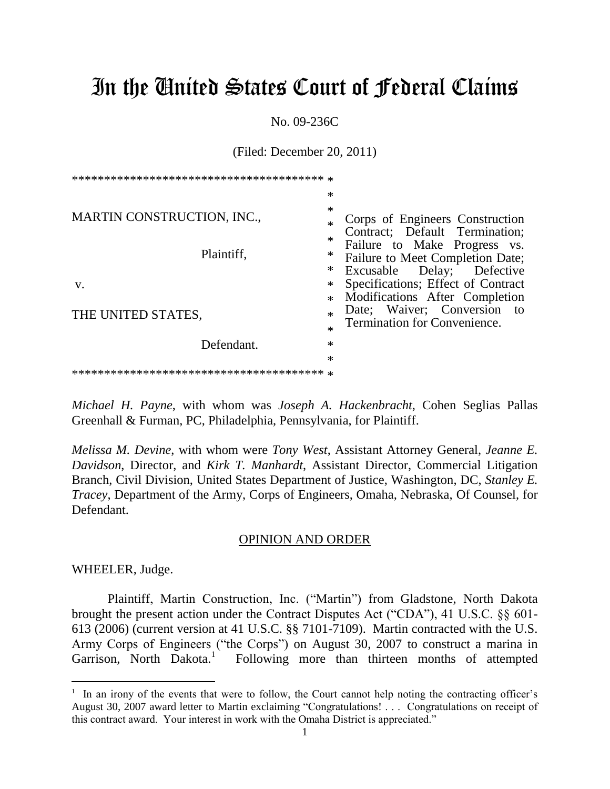# In the United States Court of Federal Claims

No. 09-236C

(Filed: December 20, 2011)

|                                                 | $\ast$                          |                                                                                                                                                                     |
|-------------------------------------------------|---------------------------------|---------------------------------------------------------------------------------------------------------------------------------------------------------------------|
| <b>MARTIN CONSTRUCTION, INC.,</b><br>Plaintiff, | ∗<br>$\ast$<br>$\ast$<br>∗<br>∗ | Corps of Engineers Construction<br>Contract; Default Termination;<br>Failure to Make Progress vs.<br>Failure to Meet Completion Date;<br>Excusable Delay; Defective |
| V.                                              | $\ast$<br>$\ast$                | Specifications; Effect of Contract<br>Modifications After Completion                                                                                                |
| THE UNITED STATES,                              | $\ast$<br>$\ast$                | Date; Waiver; Conversion to<br><b>Termination for Convenience.</b>                                                                                                  |
| Defendant.                                      | $\ast$                          |                                                                                                                                                                     |
|                                                 | $\ast$                          |                                                                                                                                                                     |

*Michael H. Payne*, with whom was *Joseph A. Hackenbracht*, Cohen Seglias Pallas Greenhall & Furman, PC, Philadelphia, Pennsylvania, for Plaintiff.

*Melissa M. Devine*, with whom were *Tony West*, Assistant Attorney General, *Jeanne E. Davidson*, Director, and *Kirk T. Manhardt*, Assistant Director, Commercial Litigation Branch, Civil Division, United States Department of Justice, Washington, DC, *Stanley E. Tracey*, Department of the Army, Corps of Engineers, Omaha, Nebraska, Of Counsel, for Defendant.

#### OPINION AND ORDER

WHEELER, Judge.

 $\overline{a}$ 

Plaintiff, Martin Construction, Inc. ("Martin") from Gladstone, North Dakota brought the present action under the Contract Disputes Act ("CDA"), 41 U.S.C. §§ 601- 613 (2006) (current version at 41 U.S.C. §§ 7101-7109). Martin contracted with the U.S. Army Corps of Engineers ("the Corps") on August 30, 2007 to construct a marina in Garrison, North Dakota.<sup>1</sup> Following more than thirteen months of attempted

<sup>&</sup>lt;sup>1</sup> In an irony of the events that were to follow, the Court cannot help noting the contracting officer's August 30, 2007 award letter to Martin exclaiming "Congratulations! . . . Congratulations on receipt of this contract award. Your interest in work with the Omaha District is appreciated."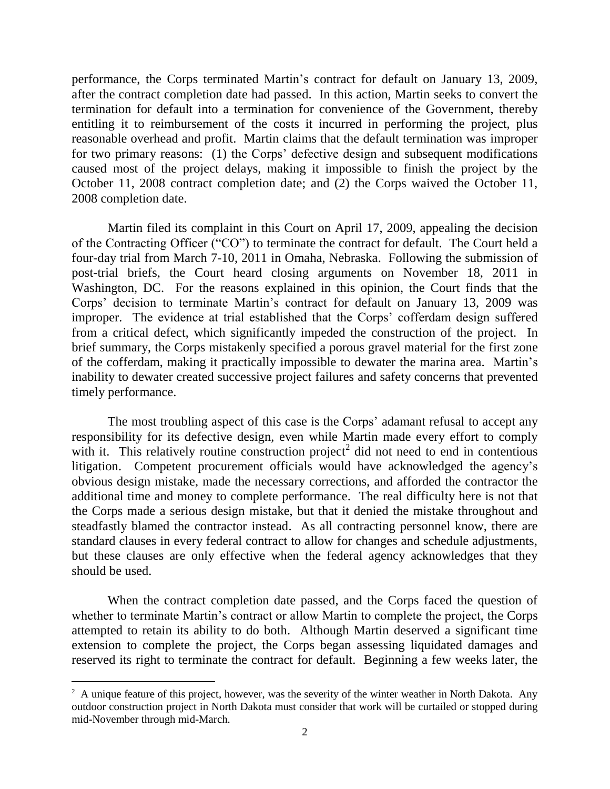performance, the Corps terminated Martin's contract for default on January 13, 2009, after the contract completion date had passed. In this action, Martin seeks to convert the termination for default into a termination for convenience of the Government, thereby entitling it to reimbursement of the costs it incurred in performing the project, plus reasonable overhead and profit. Martin claims that the default termination was improper for two primary reasons: (1) the Corps' defective design and subsequent modifications caused most of the project delays, making it impossible to finish the project by the October 11, 2008 contract completion date; and (2) the Corps waived the October 11, 2008 completion date.

Martin filed its complaint in this Court on April 17, 2009, appealing the decision of the Contracting Officer ("CO") to terminate the contract for default. The Court held a four-day trial from March 7-10, 2011 in Omaha, Nebraska. Following the submission of post-trial briefs, the Court heard closing arguments on November 18, 2011 in Washington, DC. For the reasons explained in this opinion, the Court finds that the Corps' decision to terminate Martin's contract for default on January 13, 2009 was improper. The evidence at trial established that the Corps' cofferdam design suffered from a critical defect, which significantly impeded the construction of the project. In brief summary, the Corps mistakenly specified a porous gravel material for the first zone of the cofferdam, making it practically impossible to dewater the marina area. Martin's inability to dewater created successive project failures and safety concerns that prevented timely performance.

The most troubling aspect of this case is the Corps' adamant refusal to accept any responsibility for its defective design, even while Martin made every effort to comply with it. This relatively routine construction project<sup>2</sup> did not need to end in contentious litigation. Competent procurement officials would have acknowledged the agency's obvious design mistake, made the necessary corrections, and afforded the contractor the additional time and money to complete performance. The real difficulty here is not that the Corps made a serious design mistake, but that it denied the mistake throughout and steadfastly blamed the contractor instead. As all contracting personnel know, there are standard clauses in every federal contract to allow for changes and schedule adjustments, but these clauses are only effective when the federal agency acknowledges that they should be used.

When the contract completion date passed, and the Corps faced the question of whether to terminate Martin's contract or allow Martin to complete the project, the Corps attempted to retain its ability to do both. Although Martin deserved a significant time extension to complete the project, the Corps began assessing liquidated damages and reserved its right to terminate the contract for default. Beginning a few weeks later, the

 $\overline{a}$ 

 $2 \text{ A unique feature of this project, however, was the severity of the winter weather in North Dakota. Any}$ outdoor construction project in North Dakota must consider that work will be curtailed or stopped during mid-November through mid-March.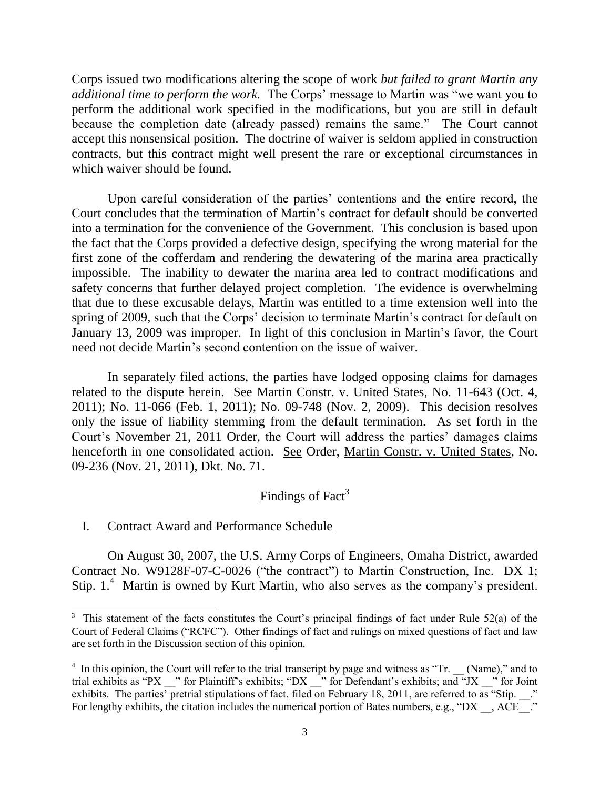Corps issued two modifications altering the scope of work *but failed to grant Martin any additional time to perform the work.* The Corps' message to Martin was "we want you to perform the additional work specified in the modifications, but you are still in default because the completion date (already passed) remains the same." The Court cannot accept this nonsensical position. The doctrine of waiver is seldom applied in construction contracts, but this contract might well present the rare or exceptional circumstances in which waiver should be found.

Upon careful consideration of the parties' contentions and the entire record, the Court concludes that the termination of Martin's contract for default should be converted into a termination for the convenience of the Government. This conclusion is based upon the fact that the Corps provided a defective design, specifying the wrong material for the first zone of the cofferdam and rendering the dewatering of the marina area practically impossible. The inability to dewater the marina area led to contract modifications and safety concerns that further delayed project completion. The evidence is overwhelming that due to these excusable delays, Martin was entitled to a time extension well into the spring of 2009, such that the Corps' decision to terminate Martin's contract for default on January 13, 2009 was improper. In light of this conclusion in Martin's favor, the Court need not decide Martin's second contention on the issue of waiver.

In separately filed actions, the parties have lodged opposing claims for damages related to the dispute herein. See Martin Constr. v. United States, No. 11-643 (Oct. 4, 2011); No. 11-066 (Feb. 1, 2011); No. 09-748 (Nov. 2, 2009). This decision resolves only the issue of liability stemming from the default termination. As set forth in the Court's November 21, 2011 Order, the Court will address the parties' damages claims henceforth in one consolidated action. See Order, Martin Constr. v. United States, No. 09-236 (Nov. 21, 2011), Dkt. No. 71.

# Findings of Fact<sup>3</sup>

### I. Contract Award and Performance Schedule

 $\overline{a}$ 

On August 30, 2007, the U.S. Army Corps of Engineers, Omaha District, awarded Contract No. W9128F-07-C-0026 ("the contract") to Martin Construction, Inc. DX 1; Stip.  $1<sup>4</sup>$  Martin is owned by Kurt Martin, who also serves as the company's president.

 $3$  This statement of the facts constitutes the Court's principal findings of fact under Rule 52(a) of the Court of Federal Claims ("RCFC"). Other findings of fact and rulings on mixed questions of fact and law are set forth in the Discussion section of this opinion.

 $4\,$  In this opinion, the Court will refer to the trial transcript by page and witness as "Tr. (Name)," and to trial exhibits as "PX  $\cdots$ " for Plaintiff's exhibits; "DX  $\cdots$ " for Defendant's exhibits; and "JX  $\cdots$ " for Joint exhibits. The parties' pretrial stipulations of fact, filed on February 18, 2011, are referred to as "Stip.  $\therefore$ " For lengthy exhibits, the citation includes the numerical portion of Bates numbers, e.g., "DX , ACE ."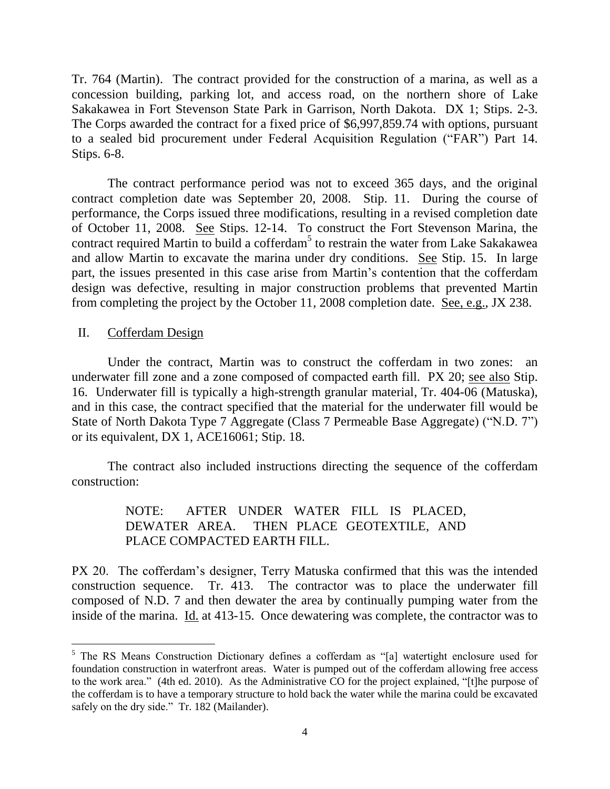Tr. 764 (Martin). The contract provided for the construction of a marina, as well as a concession building, parking lot, and access road, on the northern shore of Lake Sakakawea in Fort Stevenson State Park in Garrison, North Dakota. DX 1; Stips. 2-3. The Corps awarded the contract for a fixed price of \$6,997,859.74 with options, pursuant to a sealed bid procurement under Federal Acquisition Regulation ("FAR") Part 14. Stips. 6-8.

The contract performance period was not to exceed 365 days, and the original contract completion date was September 20, 2008. Stip. 11. During the course of performance, the Corps issued three modifications, resulting in a revised completion date of October 11, 2008. See Stips. 12-14. To construct the Fort Stevenson Marina, the contract required Martin to build a cofferdam<sup>5</sup> to restrain the water from Lake Sakakawea and allow Martin to excavate the marina under dry conditions. See Stip. 15. In large part, the issues presented in this case arise from Martin's contention that the cofferdam design was defective, resulting in major construction problems that prevented Martin from completing the project by the October 11, 2008 completion date. See, e.g., JX 238.

II. Cofferdam Design

 $\overline{a}$ 

Under the contract, Martin was to construct the cofferdam in two zones: an underwater fill zone and a zone composed of compacted earth fill. PX 20; see also Stip. 16. Underwater fill is typically a high-strength granular material, Tr. 404-06 (Matuska), and in this case, the contract specified that the material for the underwater fill would be State of North Dakota Type 7 Aggregate (Class 7 Permeable Base Aggregate) ("N.D. 7") or its equivalent, DX 1, ACE16061; Stip. 18.

The contract also included instructions directing the sequence of the cofferdam construction:

# NOTE: AFTER UNDER WATER FILL IS PLACED, DEWATER AREA. THEN PLACE GEOTEXTILE, AND PLACE COMPACTED EARTH FILL.

PX 20. The cofferdam's designer, Terry Matuska confirmed that this was the intended construction sequence. Tr. 413. The contractor was to place the underwater fill composed of N.D. 7 and then dewater the area by continually pumping water from the inside of the marina. Id. at 413-15. Once dewatering was complete, the contractor was to

<sup>&</sup>lt;sup>5</sup> The RS Means Construction Dictionary defines a cofferdam as "[a] watertight enclosure used for foundation construction in waterfront areas. Water is pumped out of the cofferdam allowing free access to the work area." (4th ed. 2010). As the Administrative CO for the project explained, "[t]he purpose of the cofferdam is to have a temporary structure to hold back the water while the marina could be excavated safely on the dry side." Tr. 182 (Mailander).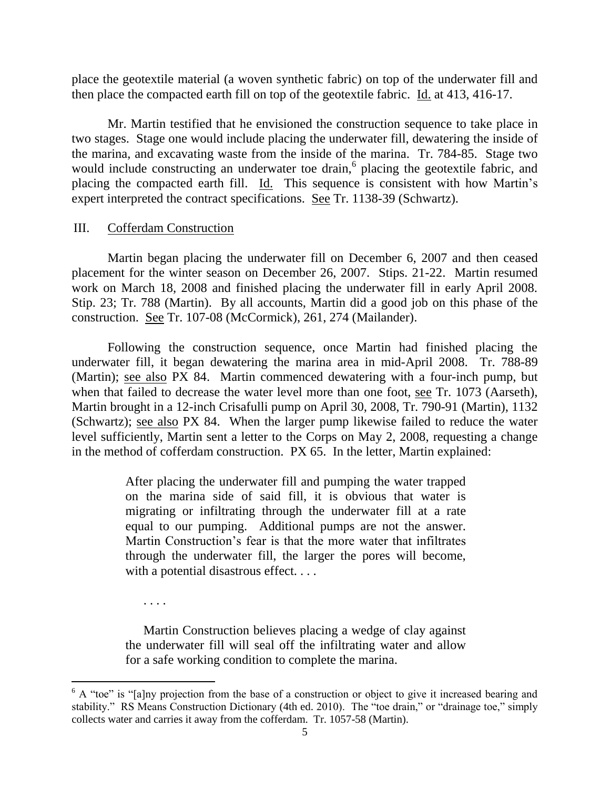place the geotextile material (a woven synthetic fabric) on top of the underwater fill and then place the compacted earth fill on top of the geotextile fabric. Id. at 413, 416-17.

Mr. Martin testified that he envisioned the construction sequence to take place in two stages. Stage one would include placing the underwater fill, dewatering the inside of the marina, and excavating waste from the inside of the marina. Tr. 784-85. Stage two would include constructing an underwater toe drain,<sup>6</sup> placing the geotextile fabric, and placing the compacted earth fill. Id. This sequence is consistent with how Martin's expert interpreted the contract specifications. See Tr. 1138-39 (Schwartz).

## III. Cofferdam Construction

Martin began placing the underwater fill on December 6, 2007 and then ceased placement for the winter season on December 26, 2007. Stips. 21-22. Martin resumed work on March 18, 2008 and finished placing the underwater fill in early April 2008. Stip. 23; Tr. 788 (Martin). By all accounts, Martin did a good job on this phase of the construction. See Tr. 107-08 (McCormick), 261, 274 (Mailander).

Following the construction sequence, once Martin had finished placing the underwater fill, it began dewatering the marina area in mid-April 2008. Tr. 788-89 (Martin); see also PX 84. Martin commenced dewatering with a four-inch pump, but when that failed to decrease the water level more than one foot, see Tr. 1073 (Aarseth), Martin brought in a 12-inch Crisafulli pump on April 30, 2008, Tr. 790-91 (Martin), 1132 (Schwartz); see also PX 84. When the larger pump likewise failed to reduce the water level sufficiently, Martin sent a letter to the Corps on May 2, 2008, requesting a change in the method of cofferdam construction. PX 65. In the letter, Martin explained:

> After placing the underwater fill and pumping the water trapped on the marina side of said fill, it is obvious that water is migrating or infiltrating through the underwater fill at a rate equal to our pumping. Additional pumps are not the answer. Martin Construction's fear is that the more water that infiltrates through the underwater fill, the larger the pores will become, with a potential disastrous effect. . . .

. . . .

 $\overline{a}$ 

Martin Construction believes placing a wedge of clay against the underwater fill will seal off the infiltrating water and allow for a safe working condition to complete the marina.

 $6$  A "toe" is "[a]ny projection from the base of a construction or object to give it increased bearing and stability." RS Means Construction Dictionary (4th ed. 2010). The "toe drain," or "drainage toe," simply collects water and carries it away from the cofferdam. Tr. 1057-58 (Martin).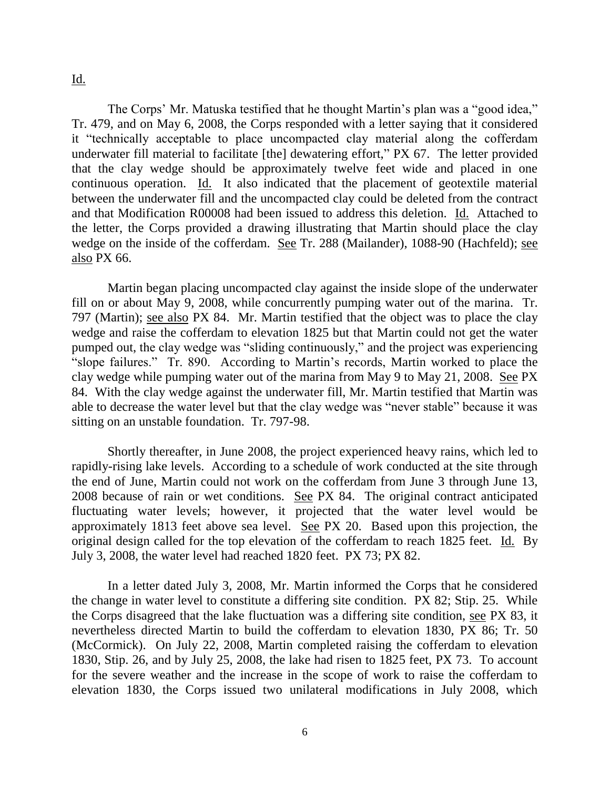Id.

The Corps' Mr. Matuska testified that he thought Martin's plan was a "good idea," Tr. 479, and on May 6, 2008, the Corps responded with a letter saying that it considered it "technically acceptable to place uncompacted clay material along the cofferdam underwater fill material to facilitate [the] dewatering effort," PX 67. The letter provided that the clay wedge should be approximately twelve feet wide and placed in one continuous operation. Id. It also indicated that the placement of geotextile material between the underwater fill and the uncompacted clay could be deleted from the contract and that Modification R00008 had been issued to address this deletion. Id. Attached to the letter, the Corps provided a drawing illustrating that Martin should place the clay wedge on the inside of the cofferdam. See Tr. 288 (Mailander), 1088-90 (Hachfeld); see also PX 66.

Martin began placing uncompacted clay against the inside slope of the underwater fill on or about May 9, 2008, while concurrently pumping water out of the marina. Tr. 797 (Martin); see also PX 84. Mr. Martin testified that the object was to place the clay wedge and raise the cofferdam to elevation 1825 but that Martin could not get the water pumped out, the clay wedge was "sliding continuously," and the project was experiencing "slope failures." Tr. 890. According to Martin's records, Martin worked to place the clay wedge while pumping water out of the marina from May 9 to May 21, 2008. See PX 84. With the clay wedge against the underwater fill, Mr. Martin testified that Martin was able to decrease the water level but that the clay wedge was "never stable" because it was sitting on an unstable foundation. Tr. 797-98.

Shortly thereafter, in June 2008, the project experienced heavy rains, which led to rapidly-rising lake levels. According to a schedule of work conducted at the site through the end of June, Martin could not work on the cofferdam from June 3 through June 13, 2008 because of rain or wet conditions. See PX 84. The original contract anticipated fluctuating water levels; however, it projected that the water level would be approximately 1813 feet above sea level. See PX 20. Based upon this projection, the original design called for the top elevation of the cofferdam to reach 1825 feet. Id. By July 3, 2008, the water level had reached 1820 feet. PX 73; PX 82.

In a letter dated July 3, 2008, Mr. Martin informed the Corps that he considered the change in water level to constitute a differing site condition. PX 82; Stip. 25. While the Corps disagreed that the lake fluctuation was a differing site condition, see PX 83, it nevertheless directed Martin to build the cofferdam to elevation 1830, PX 86; Tr. 50 (McCormick). On July 22, 2008, Martin completed raising the cofferdam to elevation 1830, Stip. 26, and by July 25, 2008, the lake had risen to 1825 feet, PX 73. To account for the severe weather and the increase in the scope of work to raise the cofferdam to elevation 1830, the Corps issued two unilateral modifications in July 2008, which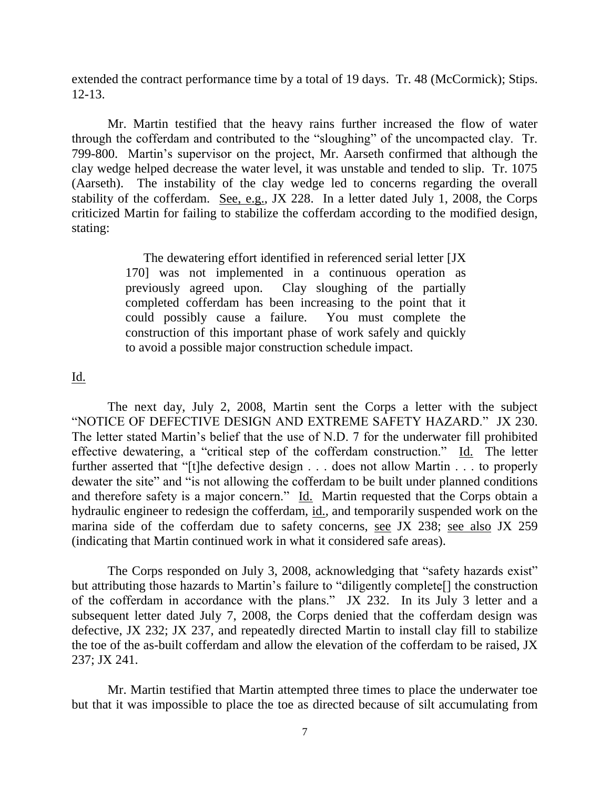extended the contract performance time by a total of 19 days. Tr. 48 (McCormick); Stips. 12-13.

Mr. Martin testified that the heavy rains further increased the flow of water through the cofferdam and contributed to the "sloughing" of the uncompacted clay. Tr. 799-800. Martin's supervisor on the project, Mr. Aarseth confirmed that although the clay wedge helped decrease the water level, it was unstable and tended to slip. Tr. 1075 (Aarseth). The instability of the clay wedge led to concerns regarding the overall stability of the cofferdam. See, e.g., JX 228. In a letter dated July 1, 2008, the Corps criticized Martin for failing to stabilize the cofferdam according to the modified design, stating:

> The dewatering effort identified in referenced serial letter [JX 170] was not implemented in a continuous operation as previously agreed upon. Clay sloughing of the partially completed cofferdam has been increasing to the point that it could possibly cause a failure. You must complete the construction of this important phase of work safely and quickly to avoid a possible major construction schedule impact.

Id.

The next day, July 2, 2008, Martin sent the Corps a letter with the subject "NOTICE OF DEFECTIVE DESIGN AND EXTREME SAFETY HAZARD." JX 230. The letter stated Martin's belief that the use of N.D. 7 for the underwater fill prohibited effective dewatering, a "critical step of the cofferdam construction." Id. The letter further asserted that "[t]he defective design . . . does not allow Martin . . . to properly dewater the site" and "is not allowing the cofferdam to be built under planned conditions and therefore safety is a major concern." Id. Martin requested that the Corps obtain a hydraulic engineer to redesign the cofferdam, id., and temporarily suspended work on the marina side of the cofferdam due to safety concerns, see JX 238; see also JX 259 (indicating that Martin continued work in what it considered safe areas).

The Corps responded on July 3, 2008, acknowledging that "safety hazards exist" but attributing those hazards to Martin's failure to "diligently complete[] the construction of the cofferdam in accordance with the plans." JX 232. In its July 3 letter and a subsequent letter dated July 7, 2008, the Corps denied that the cofferdam design was defective, JX 232; JX 237, and repeatedly directed Martin to install clay fill to stabilize the toe of the as-built cofferdam and allow the elevation of the cofferdam to be raised, JX 237; JX 241.

Mr. Martin testified that Martin attempted three times to place the underwater toe but that it was impossible to place the toe as directed because of silt accumulating from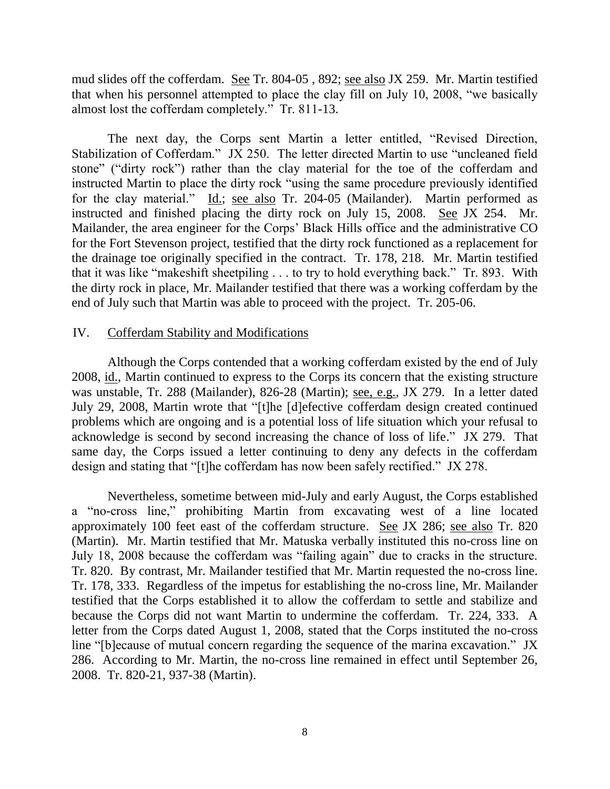mud slides off the cofferdam. See Tr. 804-05, 892; see also JX 259. Mr. Martin testified that when his personnel attempted to place the clay fill on July 10, 2008, "we basically almost lost the cofferdam completely." Tr. 811-13.

The next day, the Corps sent Martin a letter entitled, "Revised Direction, Stabilization of Cofferdam." JX 250. The letter directed Martin to use "uncleaned field stone" ("dirty rock") rather than the clay material for the toe of the cofferdam and instructed Martin to place the dirty rock "using the same procedure previously identified for the clay material." Id.; see also Tr. 204-05 (Mailander). Martin performed as instructed and finished placing the dirty rock on July 15, 2008. See JX 254. Mr. Mailander, the area engineer for the Corps' Black Hills office and the administrative CO for the Fort Stevenson project, testified that the dirty rock functioned as a replacement for the drainage toe originally specified in the contract. Tr. 178, 218. Mr. Martin testified that it was like "makeshift sheetpiling . . . to try to hold everything back." Tr. 893. With the dirty rock in place, Mr. Mailander testified that there was a working cofferdam by the end of July such that Martin was able to proceed with the project. Tr. 205-06.

#### IV. Cofferdam Stability and Modifications

Although the Corps contended that a working cofferdam existed by the end of July 2008, id., Martin continued to express to the Corps its concern that the existing structure was unstable, Tr. 288 (Mailander), 826-28 (Martin); see, e.g., JX 279. In a letter dated July 29, 2008, Martin wrote that "[t]he [d]efective cofferdam design created continued problems which are ongoing and is a potential loss of life situation which your refusal to acknowledge is second by second increasing the chance of loss of life." JX 279. That same day, the Corps issued a letter continuing to deny any defects in the cofferdam design and stating that "[t]he cofferdam has now been safely rectified." JX 278.

Nevertheless, sometime between mid-July and early August, the Corps established a "no-cross line," prohibiting Martin from excavating west of a line located approximately 100 feet east of the cofferdam structure. See JX 286; see also Tr. 820 (Martin). Mr. Martin testified that Mr. Matuska verbally instituted this no-cross line on July 18, 2008 because the cofferdam was "failing again" due to cracks in the structure. Tr. 820. By contrast, Mr. Mailander testified that Mr. Martin requested the no-cross line. Tr. 178, 333. Regardless of the impetus for establishing the no-cross line, Mr. Mailander testified that the Corps established it to allow the cofferdam to settle and stabilize and because the Corps did not want Martin to undermine the cofferdam. Tr. 224, 333. A letter from the Corps dated August 1, 2008, stated that the Corps instituted the no-cross line "[b]ecause of mutual concern regarding the sequence of the marina excavation." JX 286. According to Mr. Martin, the no-cross line remained in effect until September 26, 2008. Tr. 820-21, 937-38 (Martin).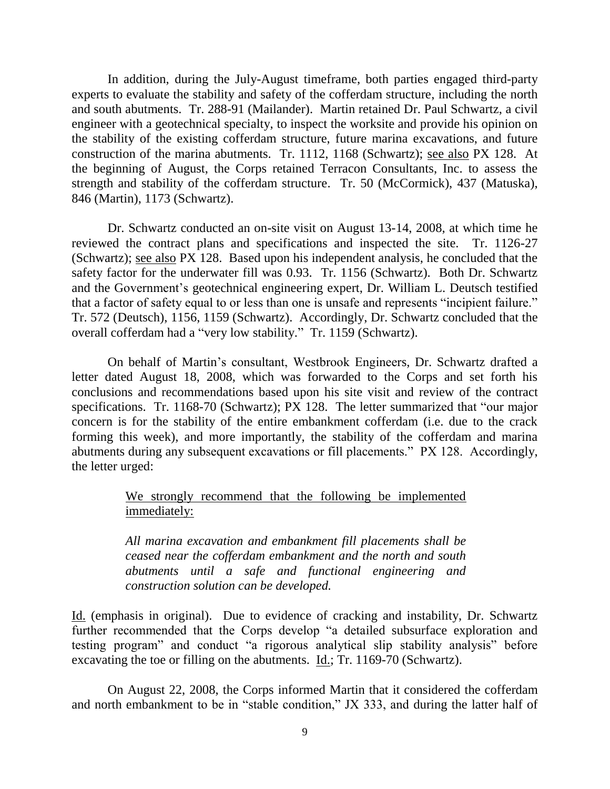In addition, during the July-August timeframe, both parties engaged third-party experts to evaluate the stability and safety of the cofferdam structure, including the north and south abutments. Tr. 288-91 (Mailander). Martin retained Dr. Paul Schwartz, a civil engineer with a geotechnical specialty, to inspect the worksite and provide his opinion on the stability of the existing cofferdam structure, future marina excavations, and future construction of the marina abutments. Tr. 1112, 1168 (Schwartz); see also PX 128. At the beginning of August, the Corps retained Terracon Consultants, Inc. to assess the strength and stability of the cofferdam structure. Tr. 50 (McCormick), 437 (Matuska), 846 (Martin), 1173 (Schwartz).

Dr. Schwartz conducted an on-site visit on August 13-14, 2008, at which time he reviewed the contract plans and specifications and inspected the site. Tr. 1126-27 (Schwartz); see also PX 128. Based upon his independent analysis, he concluded that the safety factor for the underwater fill was 0.93. Tr. 1156 (Schwartz). Both Dr. Schwartz and the Government's geotechnical engineering expert, Dr. William L. Deutsch testified that a factor of safety equal to or less than one is unsafe and represents "incipient failure." Tr. 572 (Deutsch), 1156, 1159 (Schwartz). Accordingly, Dr. Schwartz concluded that the overall cofferdam had a "very low stability." Tr. 1159 (Schwartz).

On behalf of Martin's consultant, Westbrook Engineers, Dr. Schwartz drafted a letter dated August 18, 2008, which was forwarded to the Corps and set forth his conclusions and recommendations based upon his site visit and review of the contract specifications. Tr. 1168-70 (Schwartz); PX 128. The letter summarized that "our major concern is for the stability of the entire embankment cofferdam (i.e. due to the crack forming this week), and more importantly, the stability of the cofferdam and marina abutments during any subsequent excavations or fill placements." PX 128. Accordingly, the letter urged:

## We strongly recommend that the following be implemented immediately:

*All marina excavation and embankment fill placements shall be ceased near the cofferdam embankment and the north and south abutments until a safe and functional engineering and construction solution can be developed.* 

Id. (emphasis in original). Due to evidence of cracking and instability, Dr. Schwartz further recommended that the Corps develop "a detailed subsurface exploration and testing program" and conduct "a rigorous analytical slip stability analysis" before excavating the toe or filling on the abutments. Id.; Tr. 1169-70 (Schwartz).

On August 22, 2008, the Corps informed Martin that it considered the cofferdam and north embankment to be in "stable condition," JX 333, and during the latter half of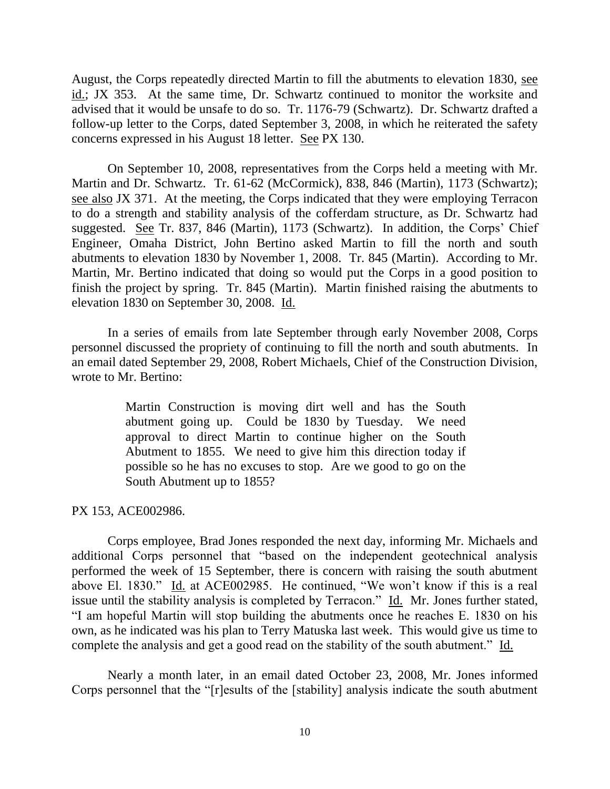August, the Corps repeatedly directed Martin to fill the abutments to elevation 1830, see id.; JX 353. At the same time, Dr. Schwartz continued to monitor the worksite and advised that it would be unsafe to do so. Tr. 1176-79 (Schwartz). Dr. Schwartz drafted a follow-up letter to the Corps, dated September 3, 2008, in which he reiterated the safety concerns expressed in his August 18 letter. See PX 130.

On September 10, 2008, representatives from the Corps held a meeting with Mr. Martin and Dr. Schwartz. Tr. 61-62 (McCormick), 838, 846 (Martin), 1173 (Schwartz); see also JX 371. At the meeting, the Corps indicated that they were employing Terracon to do a strength and stability analysis of the cofferdam structure, as Dr. Schwartz had suggested. See Tr. 837, 846 (Martin), 1173 (Schwartz). In addition, the Corps' Chief Engineer, Omaha District, John Bertino asked Martin to fill the north and south abutments to elevation 1830 by November 1, 2008. Tr. 845 (Martin). According to Mr. Martin, Mr. Bertino indicated that doing so would put the Corps in a good position to finish the project by spring. Tr. 845 (Martin). Martin finished raising the abutments to elevation 1830 on September 30, 2008. Id.

In a series of emails from late September through early November 2008, Corps personnel discussed the propriety of continuing to fill the north and south abutments. In an email dated September 29, 2008, Robert Michaels, Chief of the Construction Division, wrote to Mr. Bertino:

> Martin Construction is moving dirt well and has the South abutment going up. Could be 1830 by Tuesday. We need approval to direct Martin to continue higher on the South Abutment to 1855. We need to give him this direction today if possible so he has no excuses to stop. Are we good to go on the South Abutment up to 1855?

PX 153, ACE002986.

Corps employee, Brad Jones responded the next day, informing Mr. Michaels and additional Corps personnel that "based on the independent geotechnical analysis performed the week of 15 September, there is concern with raising the south abutment above El. 1830." Id. at ACE002985. He continued, "We won't know if this is a real issue until the stability analysis is completed by Terracon." Id. Mr. Jones further stated, "I am hopeful Martin will stop building the abutments once he reaches E. 1830 on his own, as he indicated was his plan to Terry Matuska last week. This would give us time to complete the analysis and get a good read on the stability of the south abutment." Id.

Nearly a month later, in an email dated October 23, 2008, Mr. Jones informed Corps personnel that the "[r]esults of the [stability] analysis indicate the south abutment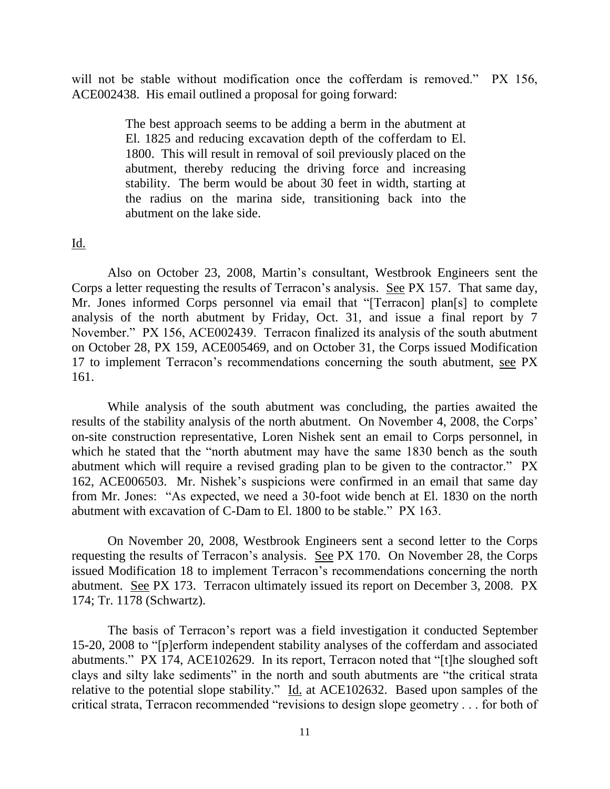will not be stable without modification once the cofferdam is removed." PX 156, ACE002438. His email outlined a proposal for going forward:

> The best approach seems to be adding a berm in the abutment at El. 1825 and reducing excavation depth of the cofferdam to El. 1800. This will result in removal of soil previously placed on the abutment, thereby reducing the driving force and increasing stability. The berm would be about 30 feet in width, starting at the radius on the marina side, transitioning back into the abutment on the lake side.

Id.

Also on October 23, 2008, Martin's consultant, Westbrook Engineers sent the Corps a letter requesting the results of Terracon's analysis. See PX 157. That same day, Mr. Jones informed Corps personnel via email that "[Terracon] plan[s] to complete analysis of the north abutment by Friday, Oct. 31, and issue a final report by 7 November." PX 156, ACE002439. Terracon finalized its analysis of the south abutment on October 28, PX 159, ACE005469, and on October 31, the Corps issued Modification 17 to implement Terracon's recommendations concerning the south abutment, see PX 161.

While analysis of the south abutment was concluding, the parties awaited the results of the stability analysis of the north abutment. On November 4, 2008, the Corps' on-site construction representative, Loren Nishek sent an email to Corps personnel, in which he stated that the "north abutment may have the same 1830 bench as the south abutment which will require a revised grading plan to be given to the contractor." PX 162, ACE006503. Mr. Nishek's suspicions were confirmed in an email that same day from Mr. Jones: "As expected, we need a 30-foot wide bench at El. 1830 on the north abutment with excavation of C-Dam to El. 1800 to be stable." PX 163.

On November 20, 2008, Westbrook Engineers sent a second letter to the Corps requesting the results of Terracon's analysis. See PX 170. On November 28, the Corps issued Modification 18 to implement Terracon's recommendations concerning the north abutment. See PX 173. Terracon ultimately issued its report on December 3, 2008. PX 174; Tr. 1178 (Schwartz).

The basis of Terracon's report was a field investigation it conducted September 15-20, 2008 to "[p]erform independent stability analyses of the cofferdam and associated abutments." PX 174, ACE102629. In its report, Terracon noted that "[t]he sloughed soft clays and silty lake sediments" in the north and south abutments are "the critical strata relative to the potential slope stability." Id. at ACE102632. Based upon samples of the critical strata, Terracon recommended "revisions to design slope geometry . . . for both of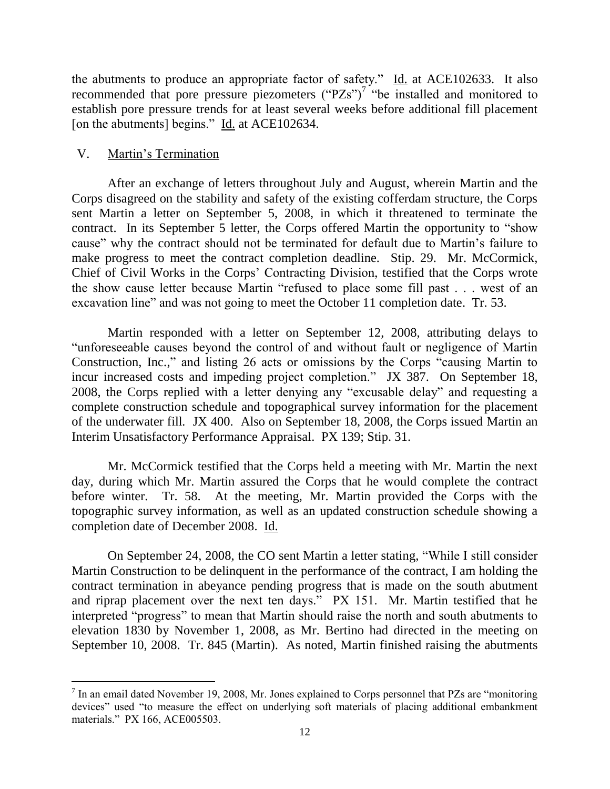the abutments to produce an appropriate factor of safety."  $\underline{Id}$  at ACE102633. It also recommended that pore pressure piezometers  $("PZs")^7$  "be installed and monitored to establish pore pressure trends for at least several weeks before additional fill placement [on the abutments] begins." Id. at ACE102634.

## V. Martin's Termination

 $\overline{a}$ 

After an exchange of letters throughout July and August, wherein Martin and the Corps disagreed on the stability and safety of the existing cofferdam structure, the Corps sent Martin a letter on September 5, 2008, in which it threatened to terminate the contract. In its September 5 letter, the Corps offered Martin the opportunity to "show cause" why the contract should not be terminated for default due to Martin's failure to make progress to meet the contract completion deadline. Stip. 29. Mr. McCormick, Chief of Civil Works in the Corps' Contracting Division, testified that the Corps wrote the show cause letter because Martin "refused to place some fill past . . . west of an excavation line" and was not going to meet the October 11 completion date. Tr. 53.

Martin responded with a letter on September 12, 2008, attributing delays to "unforeseeable causes beyond the control of and without fault or negligence of Martin Construction, Inc.," and listing 26 acts or omissions by the Corps "causing Martin to incur increased costs and impeding project completion." JX 387. On September 18, 2008, the Corps replied with a letter denying any "excusable delay" and requesting a complete construction schedule and topographical survey information for the placement of the underwater fill*.* JX 400. Also on September 18, 2008, the Corps issued Martin an Interim Unsatisfactory Performance Appraisal. PX 139; Stip. 31.

Mr. McCormick testified that the Corps held a meeting with Mr. Martin the next day, during which Mr. Martin assured the Corps that he would complete the contract before winter. Tr. 58. At the meeting, Mr. Martin provided the Corps with the topographic survey information, as well as an updated construction schedule showing a completion date of December 2008. Id.

On September 24, 2008, the CO sent Martin a letter stating, "While I still consider Martin Construction to be delinquent in the performance of the contract, I am holding the contract termination in abeyance pending progress that is made on the south abutment and riprap placement over the next ten days." PX 151. Mr. Martin testified that he interpreted "progress" to mean that Martin should raise the north and south abutments to elevation 1830 by November 1, 2008, as Mr. Bertino had directed in the meeting on September 10, 2008. Tr. 845 (Martin). As noted, Martin finished raising the abutments

 $<sup>7</sup>$  In an email dated November 19, 2008, Mr. Jones explained to Corps personnel that PZs are "monitoring"</sup> devices" used "to measure the effect on underlying soft materials of placing additional embankment materials." PX 166, ACE005503.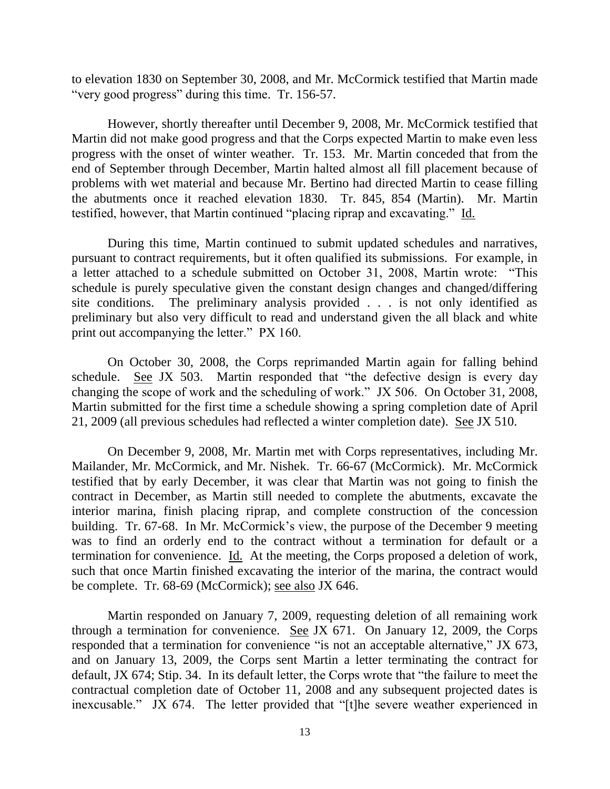to elevation 1830 on September 30, 2008, and Mr. McCormick testified that Martin made "very good progress" during this time. Tr. 156-57.

However, shortly thereafter until December 9, 2008, Mr. McCormick testified that Martin did not make good progress and that the Corps expected Martin to make even less progress with the onset of winter weather. Tr. 153. Mr. Martin conceded that from the end of September through December, Martin halted almost all fill placement because of problems with wet material and because Mr. Bertino had directed Martin to cease filling the abutments once it reached elevation 1830. Tr. 845, 854 (Martin). Mr. Martin testified, however, that Martin continued "placing riprap and excavating." Id.

During this time, Martin continued to submit updated schedules and narratives, pursuant to contract requirements, but it often qualified its submissions. For example, in a letter attached to a schedule submitted on October 31, 2008, Martin wrote: "This schedule is purely speculative given the constant design changes and changed/differing site conditions. The preliminary analysis provided . . . is not only identified as preliminary but also very difficult to read and understand given the all black and white print out accompanying the letter." PX 160.

On October 30, 2008, the Corps reprimanded Martin again for falling behind schedule. See JX 503. Martin responded that "the defective design is every day changing the scope of work and the scheduling of work." JX 506. On October 31, 2008, Martin submitted for the first time a schedule showing a spring completion date of April 21, 2009 (all previous schedules had reflected a winter completion date). See JX 510.

On December 9, 2008, Mr. Martin met with Corps representatives, including Mr. Mailander, Mr. McCormick, and Mr. Nishek. Tr. 66-67 (McCormick). Mr. McCormick testified that by early December, it was clear that Martin was not going to finish the contract in December, as Martin still needed to complete the abutments, excavate the interior marina, finish placing riprap, and complete construction of the concession building. Tr. 67-68. In Mr. McCormick's view, the purpose of the December 9 meeting was to find an orderly end to the contract without a termination for default or a termination for convenience. Id. At the meeting, the Corps proposed a deletion of work, such that once Martin finished excavating the interior of the marina, the contract would be complete. Tr. 68-69 (McCormick); see also JX 646.

Martin responded on January 7, 2009, requesting deletion of all remaining work through a termination for convenience. See JX 671. On January 12, 2009, the Corps responded that a termination for convenience "is not an acceptable alternative," JX 673, and on January 13, 2009, the Corps sent Martin a letter terminating the contract for default, JX 674; Stip. 34. In its default letter, the Corps wrote that "the failure to meet the contractual completion date of October 11, 2008 and any subsequent projected dates is inexcusable." JX 674. The letter provided that "[t]he severe weather experienced in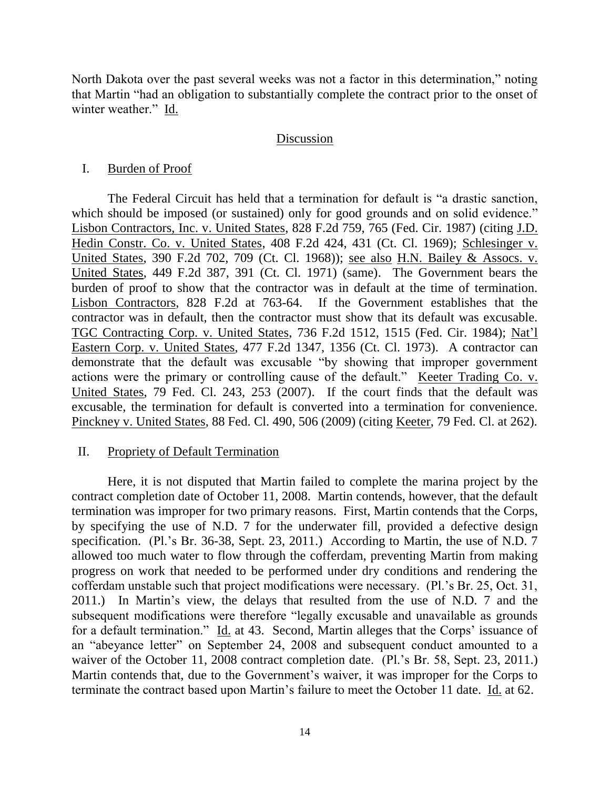North Dakota over the past several weeks was not a factor in this determination," noting that Martin "had an obligation to substantially complete the contract prior to the onset of winter weather." Id.

### Discussion

## I. Burden of Proof

The Federal Circuit has held that a termination for default is "a drastic sanction, which should be imposed (or sustained) only for good grounds and on solid evidence." Lisbon Contractors, Inc. v. United States, 828 F.2d 759, 765 (Fed. Cir. 1987) (citing J.D. Hedin Constr. Co. v. United States, 408 F.2d 424, 431 (Ct. Cl. 1969); Schlesinger v. United States, 390 F.2d 702, 709 (Ct. Cl. 1968)); see also H.N. Bailey & Assocs. v. United States, 449 F.2d 387, 391 (Ct. Cl. 1971) (same). The Government bears the burden of proof to show that the contractor was in default at the time of termination. Lisbon Contractors, 828 F.2d at 763-64. If the Government establishes that the contractor was in default, then the contractor must show that its default was excusable. TGC Contracting Corp. v. United States, 736 F.2d 1512, 1515 (Fed. Cir. 1984); Nat'l Eastern Corp. v. United States, 477 F.2d 1347, 1356 (Ct. Cl. 1973). A contractor can demonstrate that the default was excusable "by showing that improper government actions were the primary or controlling cause of the default." Keeter Trading Co. v. United States, 79 Fed. Cl. 243, 253 (2007). If the court finds that the default was excusable, the termination for default is converted into a termination for convenience. Pinckney v. United States, 88 Fed. Cl. 490, 506 (2009) (citing Keeter, 79 Fed. Cl. at 262).

## II. Propriety of Default Termination

Here, it is not disputed that Martin failed to complete the marina project by the contract completion date of October 11, 2008. Martin contends, however, that the default termination was improper for two primary reasons. First, Martin contends that the Corps, by specifying the use of N.D. 7 for the underwater fill, provided a defective design specification. (Pl.'s Br. 36-38, Sept. 23, 2011.) According to Martin, the use of N.D. 7 allowed too much water to flow through the cofferdam, preventing Martin from making progress on work that needed to be performed under dry conditions and rendering the cofferdam unstable such that project modifications were necessary. (Pl.'s Br. 25, Oct. 31, 2011.) In Martin's view, the delays that resulted from the use of N.D. 7 and the subsequent modifications were therefore "legally excusable and unavailable as grounds for a default termination." Id. at 43. Second, Martin alleges that the Corps' issuance of an "abeyance letter" on September 24, 2008 and subsequent conduct amounted to a waiver of the October 11, 2008 contract completion date. (Pl.'s Br. 58, Sept. 23, 2011.) Martin contends that, due to the Government's waiver, it was improper for the Corps to terminate the contract based upon Martin's failure to meet the October 11 date. Id. at 62.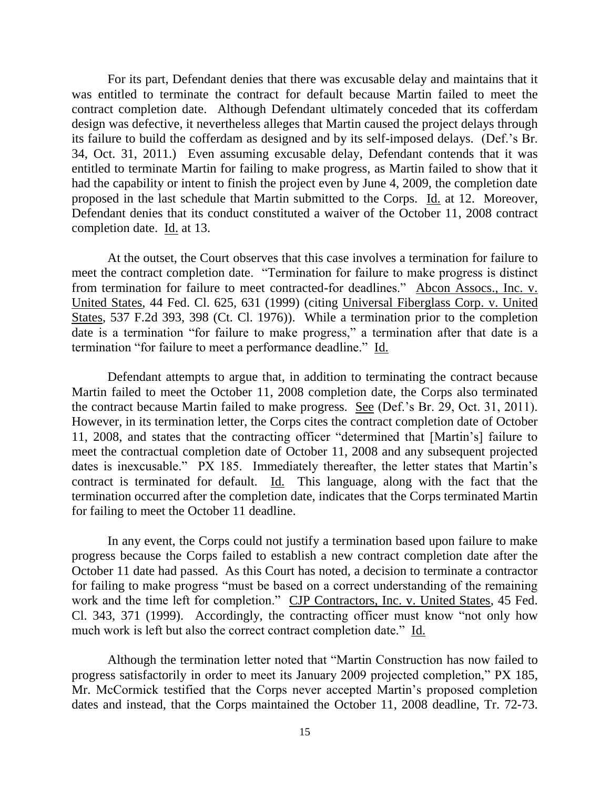For its part, Defendant denies that there was excusable delay and maintains that it was entitled to terminate the contract for default because Martin failed to meet the contract completion date. Although Defendant ultimately conceded that its cofferdam design was defective, it nevertheless alleges that Martin caused the project delays through its failure to build the cofferdam as designed and by its self-imposed delays. (Def.'s Br. 34, Oct. 31, 2011.) Even assuming excusable delay, Defendant contends that it was entitled to terminate Martin for failing to make progress, as Martin failed to show that it had the capability or intent to finish the project even by June 4, 2009, the completion date proposed in the last schedule that Martin submitted to the Corps. Id. at 12. Moreover, Defendant denies that its conduct constituted a waiver of the October 11, 2008 contract completion date. Id. at 13.

At the outset, the Court observes that this case involves a termination for failure to meet the contract completion date. "Termination for failure to make progress is distinct from termination for failure to meet contracted-for deadlines." Abcon Assocs., Inc. v. United States, 44 Fed. Cl. 625, 631 (1999) (citing Universal Fiberglass Corp. v. United States, 537 F.2d 393, 398 (Ct. Cl. 1976)). While a termination prior to the completion date is a termination "for failure to make progress," a termination after that date is a termination "for failure to meet a performance deadline." Id.

Defendant attempts to argue that, in addition to terminating the contract because Martin failed to meet the October 11, 2008 completion date, the Corps also terminated the contract because Martin failed to make progress. See (Def.'s Br. 29, Oct. 31, 2011). However, in its termination letter, the Corps cites the contract completion date of October 11, 2008, and states that the contracting officer "determined that [Martin's] failure to meet the contractual completion date of October 11, 2008 and any subsequent projected dates is inexcusable." PX 185. Immediately thereafter, the letter states that Martin's contract is terminated for default.  $\underline{Id}$ . This language, along with the fact that the termination occurred after the completion date, indicates that the Corps terminated Martin for failing to meet the October 11 deadline.

In any event, the Corps could not justify a termination based upon failure to make progress because the Corps failed to establish a new contract completion date after the October 11 date had passed. As this Court has noted, a decision to terminate a contractor for failing to make progress "must be based on a correct understanding of the remaining work and the time left for completion." CJP Contractors, Inc. v. United States, 45 Fed. Cl. 343, 371 (1999). Accordingly, the contracting officer must know "not only how much work is left but also the correct contract completion date." Id.

Although the termination letter noted that "Martin Construction has now failed to progress satisfactorily in order to meet its January 2009 projected completion," PX 185, Mr. McCormick testified that the Corps never accepted Martin's proposed completion dates and instead, that the Corps maintained the October 11, 2008 deadline, Tr. 72-73.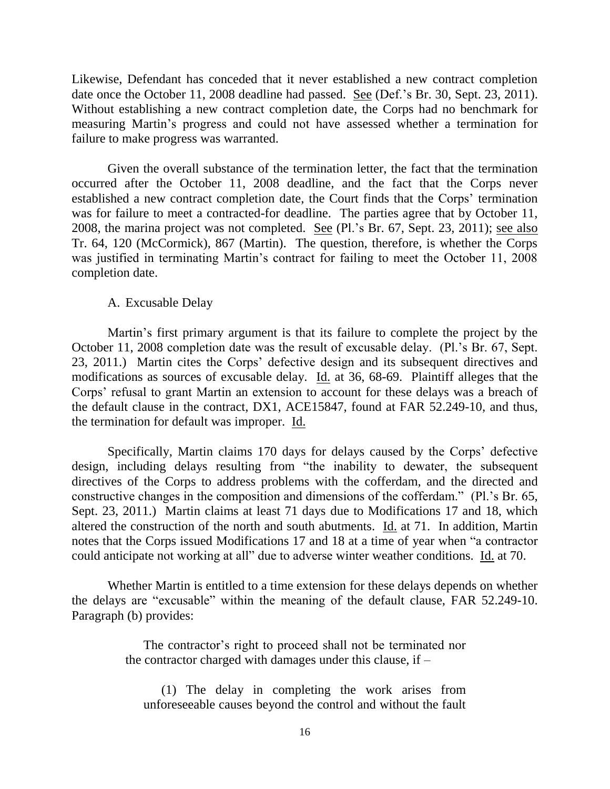Likewise, Defendant has conceded that it never established a new contract completion date once the October 11, 2008 deadline had passed. See (Def.'s Br. 30, Sept. 23, 2011). Without establishing a new contract completion date, the Corps had no benchmark for measuring Martin's progress and could not have assessed whether a termination for failure to make progress was warranted.

Given the overall substance of the termination letter, the fact that the termination occurred after the October 11, 2008 deadline, and the fact that the Corps never established a new contract completion date, the Court finds that the Corps' termination was for failure to meet a contracted-for deadline. The parties agree that by October 11, 2008, the marina project was not completed. See (Pl.'s Br. 67, Sept. 23, 2011); see also Tr. 64, 120 (McCormick), 867 (Martin). The question, therefore, is whether the Corps was justified in terminating Martin's contract for failing to meet the October 11, 2008 completion date.

#### A. Excusable Delay

Martin's first primary argument is that its failure to complete the project by the October 11, 2008 completion date was the result of excusable delay. (Pl.'s Br. 67, Sept. 23, 2011.) Martin cites the Corps' defective design and its subsequent directives and modifications as sources of excusable delay. Id. at 36, 68-69. Plaintiff alleges that the Corps' refusal to grant Martin an extension to account for these delays was a breach of the default clause in the contract, DX1, ACE15847, found at FAR 52.249-10, and thus, the termination for default was improper. Id.

Specifically, Martin claims 170 days for delays caused by the Corps' defective design, including delays resulting from "the inability to dewater, the subsequent directives of the Corps to address problems with the cofferdam, and the directed and constructive changes in the composition and dimensions of the cofferdam." (Pl.'s Br. 65, Sept. 23, 2011.) Martin claims at least 71 days due to Modifications 17 and 18, which altered the construction of the north and south abutments. Id. at 71. In addition, Martin notes that the Corps issued Modifications 17 and 18 at a time of year when "a contractor could anticipate not working at all" due to adverse winter weather conditions. Id. at 70.

Whether Martin is entitled to a time extension for these delays depends on whether the delays are "excusable" within the meaning of the default clause, FAR 52.249-10. Paragraph (b) provides:

> The contractor's right to proceed shall not be terminated nor the contractor charged with damages under this clause, if  $-$

(1) The delay in completing the work arises from unforeseeable causes beyond the control and without the fault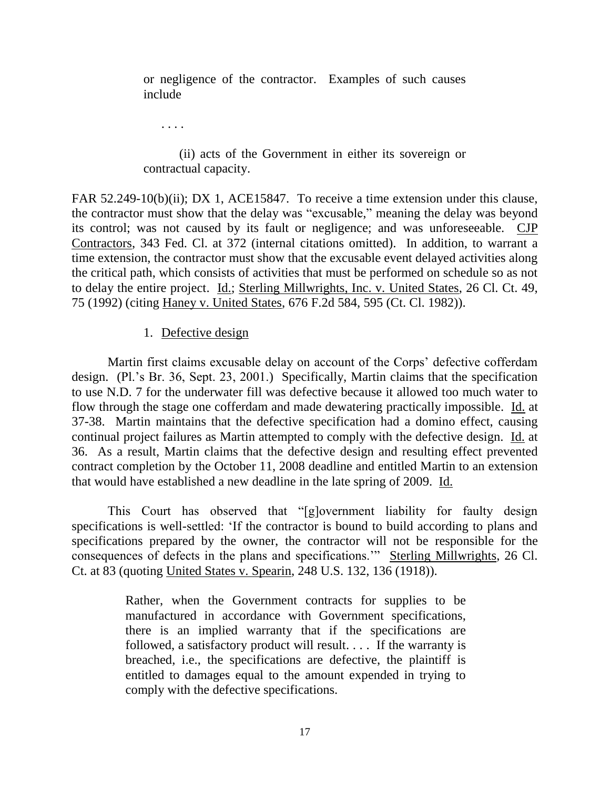or negligence of the contractor. Examples of such causes include

. . . .

(ii) acts of the Government in either its sovereign or contractual capacity.

FAR 52.249-10(b)(ii); DX 1, ACE15847. To receive a time extension under this clause, the contractor must show that the delay was "excusable," meaning the delay was beyond its control; was not caused by its fault or negligence; and was unforeseeable. CJP Contractors, 343 Fed. Cl. at 372 (internal citations omitted). In addition, to warrant a time extension, the contractor must show that the excusable event delayed activities along the critical path, which consists of activities that must be performed on schedule so as not to delay the entire project. Id.; Sterling Millwrights, Inc. v. United States, 26 Cl. Ct. 49, 75 (1992) (citing Haney v. United States, 676 F.2d 584, 595 (Ct. Cl. 1982)).

1. Defective design

Martin first claims excusable delay on account of the Corps' defective cofferdam design. (Pl.'s Br. 36, Sept. 23, 2001.) Specifically, Martin claims that the specification to use N.D. 7 for the underwater fill was defective because it allowed too much water to flow through the stage one cofferdam and made dewatering practically impossible. Id. at 37-38. Martin maintains that the defective specification had a domino effect, causing continual project failures as Martin attempted to comply with the defective design. Id. at 36. As a result, Martin claims that the defective design and resulting effect prevented contract completion by the October 11, 2008 deadline and entitled Martin to an extension that would have established a new deadline in the late spring of 2009. Id.

This Court has observed that "[g]overnment liability for faulty design specifications is well-settled: 'If the contractor is bound to build according to plans and specifications prepared by the owner, the contractor will not be responsible for the consequences of defects in the plans and specifications.'" Sterling Millwrights, 26 Cl. Ct. at 83 (quoting United States v. Spearin, 248 U.S. 132, 136 (1918)).

> Rather, when the Government contracts for supplies to be manufactured in accordance with Government specifications, there is an implied warranty that if the specifications are followed, a satisfactory product will result. . . . If the warranty is breached, i.e., the specifications are defective, the plaintiff is entitled to damages equal to the amount expended in trying to comply with the defective specifications.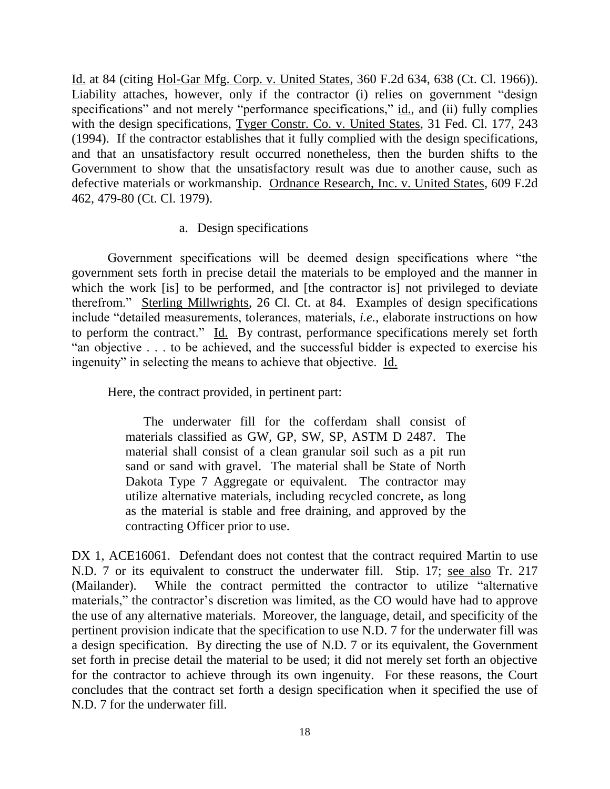Id. at 84 (citing Hol-Gar Mfg. Corp. v. United States, 360 F.2d 634, 638 (Ct. Cl. 1966)). Liability attaches, however, only if the contractor (i) relies on government "design specifications" and not merely "performance specifications," id., and (ii) fully complies with the design specifications, Tyger Constr. Co. v. United States, 31 Fed. Cl. 177, 243 (1994). If the contractor establishes that it fully complied with the design specifications, and that an unsatisfactory result occurred nonetheless, then the burden shifts to the Government to show that the unsatisfactory result was due to another cause, such as defective materials or workmanship. Ordnance Research, Inc. v. United States, 609 F.2d 462, 479-80 (Ct. Cl. 1979).

# a. Design specifications

Government specifications will be deemed design specifications where "the government sets forth in precise detail the materials to be employed and the manner in which the work [is] to be performed, and [the contractor is] not privileged to deviate therefrom." Sterling Millwrights, 26 Cl. Ct. at 84. Examples of design specifications include "detailed measurements, tolerances, materials, *i.e.*, elaborate instructions on how to perform the contract." Id. By contrast, performance specifications merely set forth "an objective . . . to be achieved, and the successful bidder is expected to exercise his ingenuity" in selecting the means to achieve that objective. Id.

Here, the contract provided, in pertinent part:

The underwater fill for the cofferdam shall consist of materials classified as GW, GP, SW, SP, ASTM D 2487. The material shall consist of a clean granular soil such as a pit run sand or sand with gravel. The material shall be State of North Dakota Type 7 Aggregate or equivalent. The contractor may utilize alternative materials, including recycled concrete, as long as the material is stable and free draining, and approved by the contracting Officer prior to use.

DX 1, ACE16061. Defendant does not contest that the contract required Martin to use N.D. 7 or its equivalent to construct the underwater fill. Stip. 17; see also Tr. 217 (Mailander). While the contract permitted the contractor to utilize "alternative materials," the contractor's discretion was limited, as the CO would have had to approve the use of any alternative materials. Moreover, the language, detail, and specificity of the pertinent provision indicate that the specification to use N.D. 7 for the underwater fill was a design specification. By directing the use of N.D. 7 or its equivalent, the Government set forth in precise detail the material to be used; it did not merely set forth an objective for the contractor to achieve through its own ingenuity. For these reasons, the Court concludes that the contract set forth a design specification when it specified the use of N.D. 7 for the underwater fill.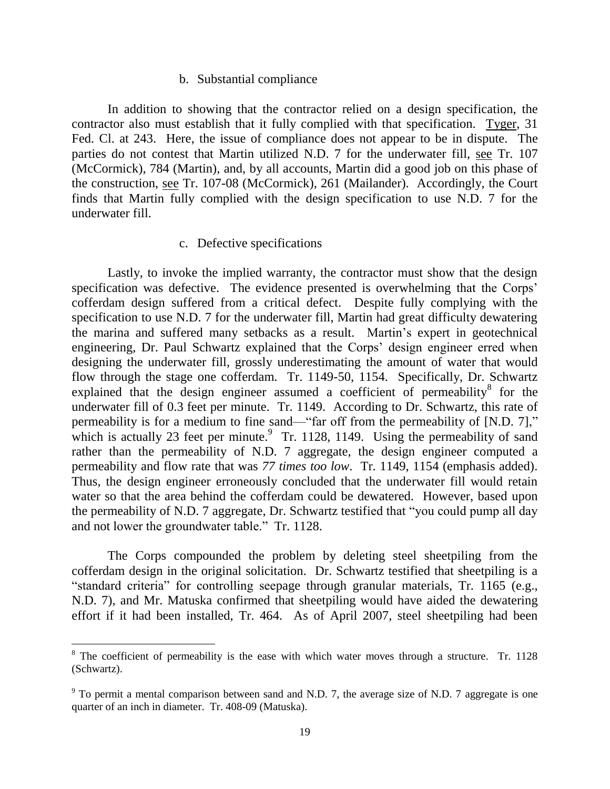#### b. Substantial compliance

In addition to showing that the contractor relied on a design specification, the contractor also must establish that it fully complied with that specification. Tyger, 31 Fed. Cl. at 243. Here, the issue of compliance does not appear to be in dispute. The parties do not contest that Martin utilized N.D. 7 for the underwater fill, see Tr. 107 (McCormick), 784 (Martin), and, by all accounts, Martin did a good job on this phase of the construction, see Tr. 107-08 (McCormick), 261 (Mailander). Accordingly, the Court finds that Martin fully complied with the design specification to use N.D. 7 for the underwater fill.

#### c. Defective specifications

Lastly, to invoke the implied warranty, the contractor must show that the design specification was defective. The evidence presented is overwhelming that the Corps' cofferdam design suffered from a critical defect. Despite fully complying with the specification to use N.D. 7 for the underwater fill, Martin had great difficulty dewatering the marina and suffered many setbacks as a result. Martin's expert in geotechnical engineering, Dr. Paul Schwartz explained that the Corps' design engineer erred when designing the underwater fill, grossly underestimating the amount of water that would flow through the stage one cofferdam. Tr. 1149-50, 1154. Specifically, Dr. Schwartz explained that the design engineer assumed a coefficient of permeability $8$  for the underwater fill of 0.3 feet per minute. Tr. 1149. According to Dr. Schwartz, this rate of permeability is for a medium to fine sand—"far off from the permeability of [N.D. 7]," which is actually 23 feet per minute. $9$  Tr. 1128, 1149. Using the permeability of sand rather than the permeability of N.D. 7 aggregate, the design engineer computed a permeability and flow rate that was *77 times too low*. Tr. 1149, 1154 (emphasis added). Thus, the design engineer erroneously concluded that the underwater fill would retain water so that the area behind the cofferdam could be dewatered. However, based upon the permeability of N.D. 7 aggregate, Dr. Schwartz testified that "you could pump all day and not lower the groundwater table." Tr. 1128.

The Corps compounded the problem by deleting steel sheetpiling from the cofferdam design in the original solicitation. Dr. Schwartz testified that sheetpiling is a "standard criteria" for controlling seepage through granular materials, Tr. 1165 (e.g., N.D. 7), and Mr. Matuska confirmed that sheetpiling would have aided the dewatering effort if it had been installed, Tr. 464. As of April 2007, steel sheetpiling had been

 $\overline{a}$ 

<sup>&</sup>lt;sup>8</sup> The coefficient of permeability is the ease with which water moves through a structure. Tr. 1128 (Schwartz).

 $9$  To permit a mental comparison between sand and N.D. 7, the average size of N.D. 7 aggregate is one quarter of an inch in diameter. Tr. 408-09 (Matuska).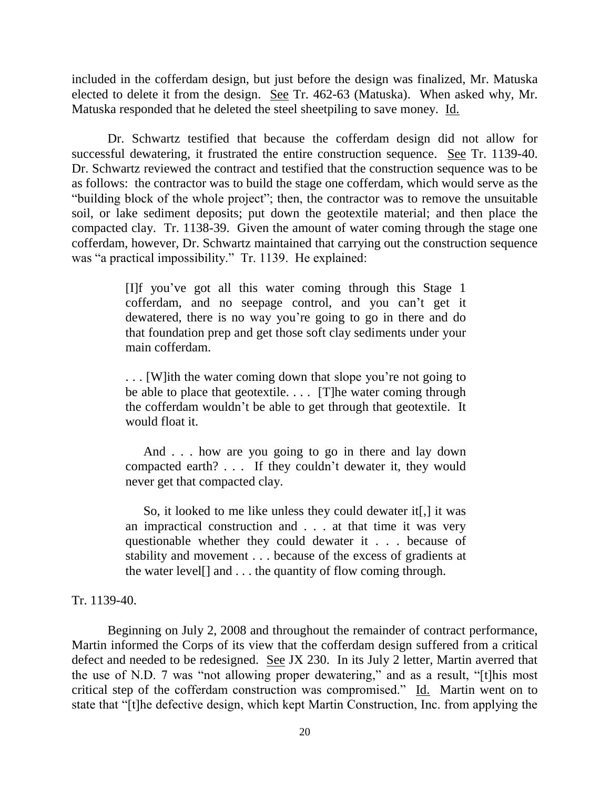included in the cofferdam design, but just before the design was finalized, Mr. Matuska elected to delete it from the design. See Tr. 462-63 (Matuska). When asked why, Mr. Matuska responded that he deleted the steel sheetpiling to save money. Id.

Dr. Schwartz testified that because the cofferdam design did not allow for successful dewatering, it frustrated the entire construction sequence. See Tr. 1139-40. Dr. Schwartz reviewed the contract and testified that the construction sequence was to be as follows: the contractor was to build the stage one cofferdam, which would serve as the "building block of the whole project"; then, the contractor was to remove the unsuitable soil, or lake sediment deposits; put down the geotextile material; and then place the compacted clay. Tr. 1138-39. Given the amount of water coming through the stage one cofferdam, however, Dr. Schwartz maintained that carrying out the construction sequence was "a practical impossibility." Tr. 1139. He explained:

> [I]f you've got all this water coming through this Stage 1 cofferdam, and no seepage control, and you can't get it dewatered, there is no way you're going to go in there and do that foundation prep and get those soft clay sediments under your main cofferdam.

> . . . [W]ith the water coming down that slope you're not going to be able to place that geotextile. . . . [T]he water coming through the cofferdam wouldn't be able to get through that geotextile. It would float it.

> And . . . how are you going to go in there and lay down compacted earth? . . . If they couldn't dewater it, they would never get that compacted clay.

> So, it looked to me like unless they could dewater it[,] it was an impractical construction and . . . at that time it was very questionable whether they could dewater it . . . because of stability and movement . . . because of the excess of gradients at the water level[] and . . . the quantity of flow coming through.

Tr. 1139-40.

Beginning on July 2, 2008 and throughout the remainder of contract performance, Martin informed the Corps of its view that the cofferdam design suffered from a critical defect and needed to be redesigned. See JX 230. In its July 2 letter, Martin averred that the use of N.D. 7 was "not allowing proper dewatering," and as a result, "[t]his most critical step of the cofferdam construction was compromised." Id. Martin went on to state that "[t]he defective design, which kept Martin Construction, Inc. from applying the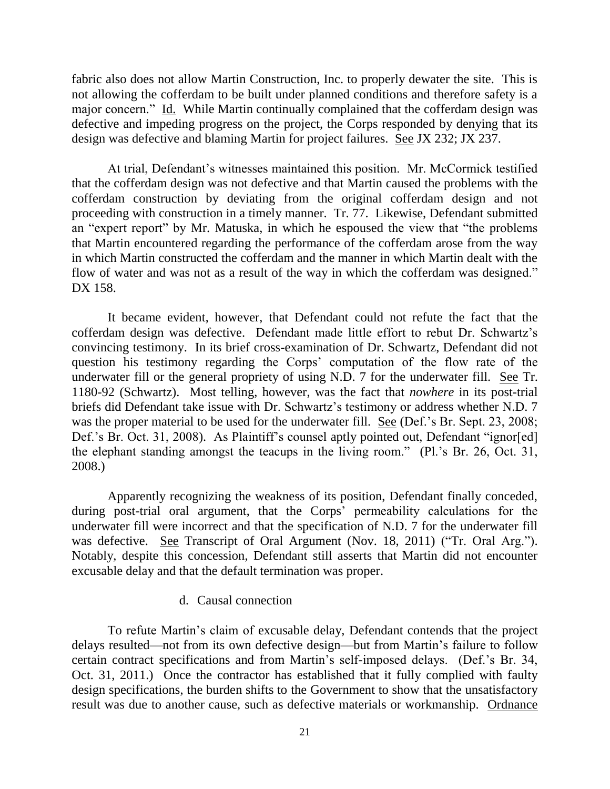fabric also does not allow Martin Construction, Inc. to properly dewater the site. This is not allowing the cofferdam to be built under planned conditions and therefore safety is a major concern." Id. While Martin continually complained that the cofferdam design was defective and impeding progress on the project, the Corps responded by denying that its design was defective and blaming Martin for project failures. See JX 232; JX 237.

At trial, Defendant's witnesses maintained this position. Mr. McCormick testified that the cofferdam design was not defective and that Martin caused the problems with the cofferdam construction by deviating from the original cofferdam design and not proceeding with construction in a timely manner. Tr. 77. Likewise, Defendant submitted an "expert report" by Mr. Matuska, in which he espoused the view that "the problems that Martin encountered regarding the performance of the cofferdam arose from the way in which Martin constructed the cofferdam and the manner in which Martin dealt with the flow of water and was not as a result of the way in which the cofferdam was designed." DX 158.

It became evident, however, that Defendant could not refute the fact that the cofferdam design was defective. Defendant made little effort to rebut Dr. Schwartz's convincing testimony. In its brief cross-examination of Dr. Schwartz, Defendant did not question his testimony regarding the Corps' computation of the flow rate of the underwater fill or the general propriety of using N.D. 7 for the underwater fill. See Tr. 1180-92 (Schwartz). Most telling, however, was the fact that *nowhere* in its post-trial briefs did Defendant take issue with Dr. Schwartz's testimony or address whether N.D. 7 was the proper material to be used for the underwater fill. See (Def.'s Br. Sept. 23, 2008; Def.'s Br. Oct. 31, 2008). As Plaintiff's counsel aptly pointed out, Defendant "ignor[ed] the elephant standing amongst the teacups in the living room." (Pl.'s Br. 26, Oct. 31, 2008.)

Apparently recognizing the weakness of its position, Defendant finally conceded, during post-trial oral argument, that the Corps' permeability calculations for the underwater fill were incorrect and that the specification of N.D. 7 for the underwater fill was defective. See Transcript of Oral Argument (Nov. 18, 2011) ("Tr. Oral Arg."). Notably, despite this concession, Defendant still asserts that Martin did not encounter excusable delay and that the default termination was proper.

#### d. Causal connection

To refute Martin's claim of excusable delay, Defendant contends that the project delays resulted—not from its own defective design—but from Martin's failure to follow certain contract specifications and from Martin's self-imposed delays. (Def.'s Br. 34, Oct. 31, 2011.) Once the contractor has established that it fully complied with faulty design specifications, the burden shifts to the Government to show that the unsatisfactory result was due to another cause, such as defective materials or workmanship. Ordnance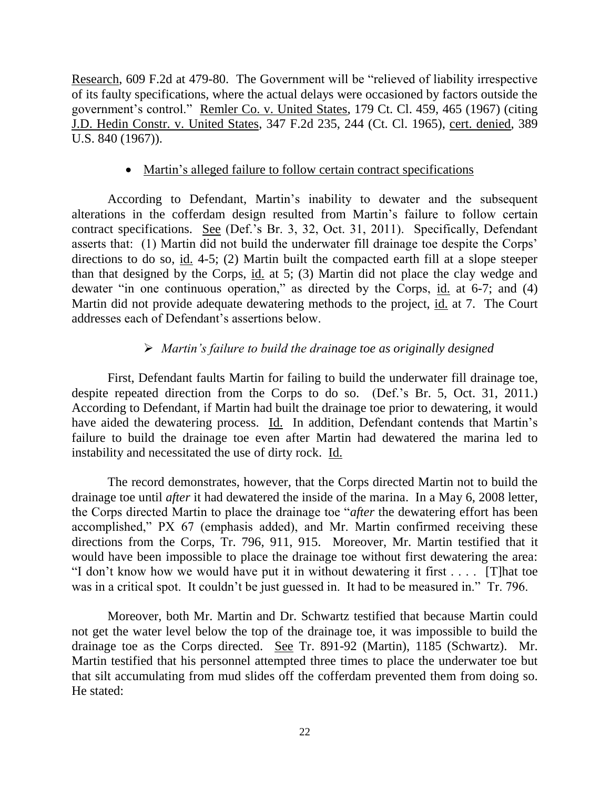Research, 609 F.2d at 479-80. The Government will be "relieved of liability irrespective of its faulty specifications, where the actual delays were occasioned by factors outside the government's control." Remler Co. v. United States, 179 Ct. Cl. 459, 465 (1967) (citing J.D. Hedin Constr. v. United States, 347 F.2d 235, 244 (Ct. Cl. 1965), cert. denied, 389 U.S. 840 (1967)).

## • Martin's alleged failure to follow certain contract specifications

According to Defendant, Martin's inability to dewater and the subsequent alterations in the cofferdam design resulted from Martin's failure to follow certain contract specifications. See (Def.'s Br. 3, 32, Oct. 31, 2011). Specifically, Defendant asserts that: (1) Martin did not build the underwater fill drainage toe despite the Corps' directions to do so, id. 4-5; (2) Martin built the compacted earth fill at a slope steeper than that designed by the Corps, id. at 5; (3) Martin did not place the clay wedge and dewater "in one continuous operation," as directed by the Corps, id. at 6-7; and (4) Martin did not provide adequate dewatering methods to the project, id. at 7. The Court addresses each of Defendant's assertions below.

# *Martin's failure to build the drainage toe as originally designed*

First, Defendant faults Martin for failing to build the underwater fill drainage toe, despite repeated direction from the Corps to do so. (Def.'s Br. 5, Oct. 31, 2011.) According to Defendant, if Martin had built the drainage toe prior to dewatering, it would have aided the dewatering process. Id. In addition, Defendant contends that Martin's failure to build the drainage toe even after Martin had dewatered the marina led to instability and necessitated the use of dirty rock. Id.

The record demonstrates, however, that the Corps directed Martin not to build the drainage toe until *after* it had dewatered the inside of the marina. In a May 6, 2008 letter, the Corps directed Martin to place the drainage toe "*after* the dewatering effort has been accomplished," PX 67 (emphasis added), and Mr. Martin confirmed receiving these directions from the Corps, Tr. 796, 911, 915. Moreover, Mr. Martin testified that it would have been impossible to place the drainage toe without first dewatering the area: "I don't know how we would have put it in without dewatering it first . . . . [T]hat toe was in a critical spot. It couldn't be just guessed in. It had to be measured in." Tr. 796.

Moreover, both Mr. Martin and Dr. Schwartz testified that because Martin could not get the water level below the top of the drainage toe, it was impossible to build the drainage toe as the Corps directed. See Tr. 891-92 (Martin), 1185 (Schwartz). Mr. Martin testified that his personnel attempted three times to place the underwater toe but that silt accumulating from mud slides off the cofferdam prevented them from doing so. He stated: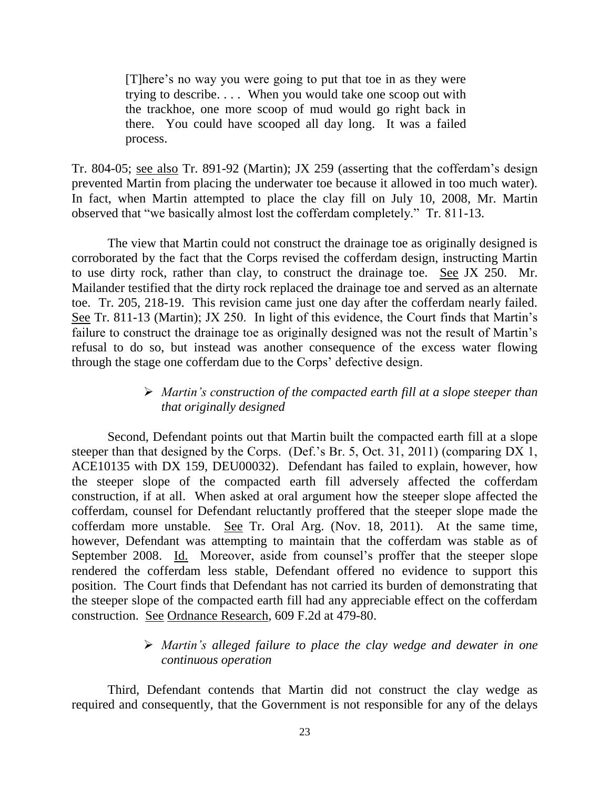[T]here's no way you were going to put that toe in as they were trying to describe. . . . When you would take one scoop out with the trackhoe, one more scoop of mud would go right back in there. You could have scooped all day long. It was a failed process.

Tr. 804-05; see also Tr. 891-92 (Martin); JX 259 (asserting that the cofferdam's design prevented Martin from placing the underwater toe because it allowed in too much water). In fact, when Martin attempted to place the clay fill on July 10, 2008, Mr. Martin observed that "we basically almost lost the cofferdam completely." Tr. 811-13.

The view that Martin could not construct the drainage toe as originally designed is corroborated by the fact that the Corps revised the cofferdam design, instructing Martin to use dirty rock, rather than clay, to construct the drainage toe. See JX 250. Mr. Mailander testified that the dirty rock replaced the drainage toe and served as an alternate toe. Tr. 205, 218-19. This revision came just one day after the cofferdam nearly failed. See Tr. 811-13 (Martin); JX 250. In light of this evidence, the Court finds that Martin's failure to construct the drainage toe as originally designed was not the result of Martin's refusal to do so, but instead was another consequence of the excess water flowing through the stage one cofferdam due to the Corps' defective design.

## *Martin's construction of the compacted earth fill at a slope steeper than that originally designed*

Second, Defendant points out that Martin built the compacted earth fill at a slope steeper than that designed by the Corps. (Def.'s Br. 5, Oct. 31, 2011) (comparing DX 1, ACE10135 with DX 159, DEU00032). Defendant has failed to explain, however, how the steeper slope of the compacted earth fill adversely affected the cofferdam construction, if at all. When asked at oral argument how the steeper slope affected the cofferdam, counsel for Defendant reluctantly proffered that the steeper slope made the cofferdam more unstable. See Tr. Oral Arg. (Nov. 18, 2011). At the same time, however, Defendant was attempting to maintain that the cofferdam was stable as of September 2008. Id. Moreover, aside from counsel's proffer that the steeper slope rendered the cofferdam less stable, Defendant offered no evidence to support this position. The Court finds that Defendant has not carried its burden of demonstrating that the steeper slope of the compacted earth fill had any appreciable effect on the cofferdam construction. See Ordnance Research, 609 F.2d at 479-80.

# *Martin's alleged failure to place the clay wedge and dewater in one continuous operation*

Third, Defendant contends that Martin did not construct the clay wedge as required and consequently, that the Government is not responsible for any of the delays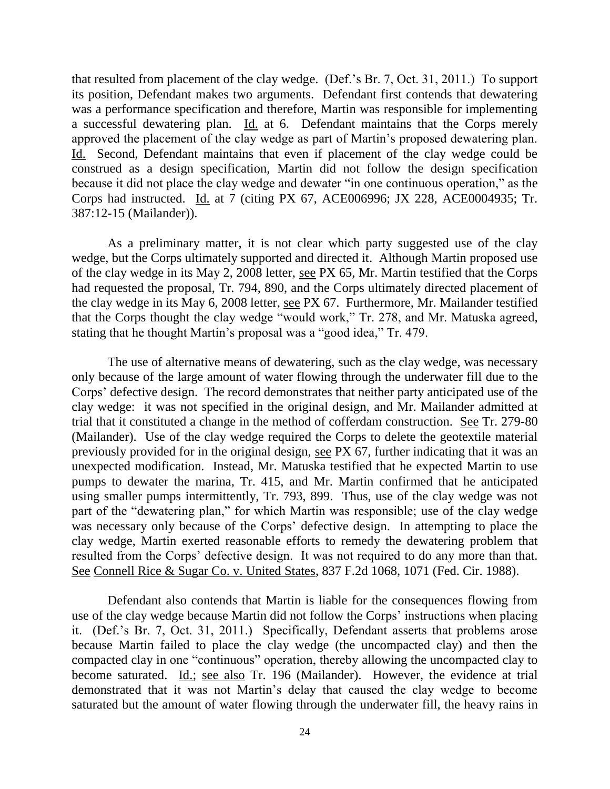that resulted from placement of the clay wedge. (Def.'s Br. 7, Oct. 31, 2011.) To support its position, Defendant makes two arguments. Defendant first contends that dewatering was a performance specification and therefore, Martin was responsible for implementing a successful dewatering plan. Id. at 6. Defendant maintains that the Corps merely approved the placement of the clay wedge as part of Martin's proposed dewatering plan. Id. Second, Defendant maintains that even if placement of the clay wedge could be construed as a design specification, Martin did not follow the design specification because it did not place the clay wedge and dewater "in one continuous operation," as the Corps had instructed. Id. at 7 (citing PX 67, ACE006996; JX 228, ACE0004935; Tr. 387:12-15 (Mailander)).

As a preliminary matter, it is not clear which party suggested use of the clay wedge, but the Corps ultimately supported and directed it. Although Martin proposed use of the clay wedge in its May 2, 2008 letter, see PX 65, Mr. Martin testified that the Corps had requested the proposal, Tr. 794, 890, and the Corps ultimately directed placement of the clay wedge in its May 6, 2008 letter, see PX 67. Furthermore, Mr. Mailander testified that the Corps thought the clay wedge "would work," Tr. 278, and Mr. Matuska agreed, stating that he thought Martin's proposal was a "good idea," Tr. 479.

The use of alternative means of dewatering, such as the clay wedge, was necessary only because of the large amount of water flowing through the underwater fill due to the Corps' defective design. The record demonstrates that neither party anticipated use of the clay wedge: it was not specified in the original design, and Mr. Mailander admitted at trial that it constituted a change in the method of cofferdam construction. See Tr. 279-80 (Mailander). Use of the clay wedge required the Corps to delete the geotextile material previously provided for in the original design, see PX 67, further indicating that it was an unexpected modification. Instead, Mr. Matuska testified that he expected Martin to use pumps to dewater the marina, Tr. 415, and Mr. Martin confirmed that he anticipated using smaller pumps intermittently, Tr. 793, 899. Thus, use of the clay wedge was not part of the "dewatering plan," for which Martin was responsible; use of the clay wedge was necessary only because of the Corps' defective design. In attempting to place the clay wedge, Martin exerted reasonable efforts to remedy the dewatering problem that resulted from the Corps' defective design. It was not required to do any more than that. See Connell Rice & Sugar Co. v. United States, 837 F.2d 1068, 1071 (Fed. Cir. 1988).

Defendant also contends that Martin is liable for the consequences flowing from use of the clay wedge because Martin did not follow the Corps' instructions when placing it. (Def.'s Br. 7, Oct. 31, 2011.) Specifically, Defendant asserts that problems arose because Martin failed to place the clay wedge (the uncompacted clay) and then the compacted clay in one "continuous" operation, thereby allowing the uncompacted clay to become saturated. Id.; see also Tr. 196 (Mailander). However, the evidence at trial demonstrated that it was not Martin's delay that caused the clay wedge to become saturated but the amount of water flowing through the underwater fill, the heavy rains in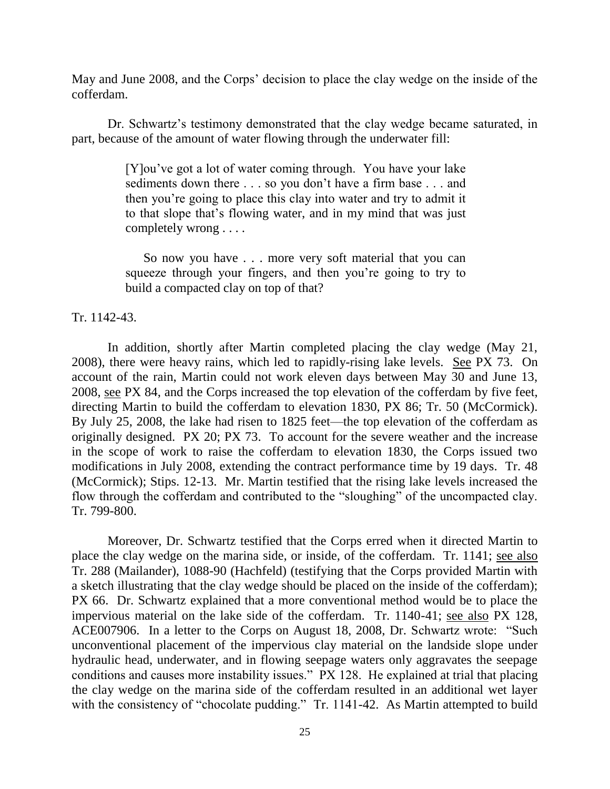May and June 2008, and the Corps' decision to place the clay wedge on the inside of the cofferdam.

Dr. Schwartz's testimony demonstrated that the clay wedge became saturated, in part, because of the amount of water flowing through the underwater fill:

> [Y]ou've got a lot of water coming through. You have your lake sediments down there . . . so you don't have a firm base . . . and then you're going to place this clay into water and try to admit it to that slope that's flowing water, and in my mind that was just completely wrong . . . .

> So now you have . . . more very soft material that you can squeeze through your fingers, and then you're going to try to build a compacted clay on top of that?

### Tr. 1142-43.

In addition, shortly after Martin completed placing the clay wedge (May 21, 2008), there were heavy rains, which led to rapidly-rising lake levels. See PX 73. On account of the rain, Martin could not work eleven days between May 30 and June 13, 2008, see PX 84, and the Corps increased the top elevation of the cofferdam by five feet, directing Martin to build the cofferdam to elevation 1830, PX 86; Tr. 50 (McCormick). By July 25, 2008, the lake had risen to 1825 feet—the top elevation of the cofferdam as originally designed. PX 20; PX 73. To account for the severe weather and the increase in the scope of work to raise the cofferdam to elevation 1830, the Corps issued two modifications in July 2008, extending the contract performance time by 19 days. Tr. 48 (McCormick); Stips. 12-13. Mr. Martin testified that the rising lake levels increased the flow through the cofferdam and contributed to the "sloughing" of the uncompacted clay. Tr. 799-800.

Moreover, Dr. Schwartz testified that the Corps erred when it directed Martin to place the clay wedge on the marina side, or inside, of the cofferdam. Tr. 1141; see also Tr. 288 (Mailander), 1088-90 (Hachfeld) (testifying that the Corps provided Martin with a sketch illustrating that the clay wedge should be placed on the inside of the cofferdam); PX 66. Dr. Schwartz explained that a more conventional method would be to place the impervious material on the lake side of the cofferdam. Tr. 1140-41; see also PX 128, ACE007906. In a letter to the Corps on August 18, 2008, Dr. Schwartz wrote: "Such unconventional placement of the impervious clay material on the landside slope under hydraulic head, underwater, and in flowing seepage waters only aggravates the seepage conditions and causes more instability issues." PX 128. He explained at trial that placing the clay wedge on the marina side of the cofferdam resulted in an additional wet layer with the consistency of "chocolate pudding." Tr. 1141-42. As Martin attempted to build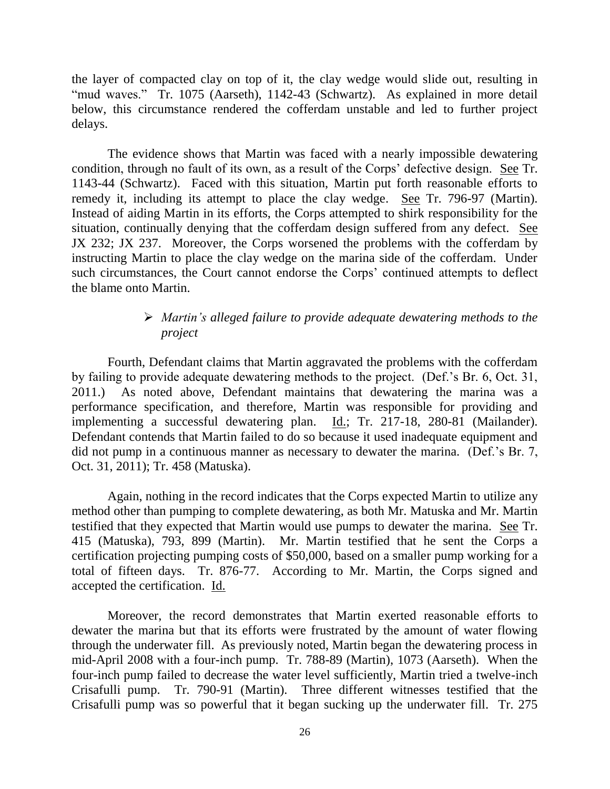the layer of compacted clay on top of it, the clay wedge would slide out, resulting in "mud waves." Tr. 1075 (Aarseth), 1142-43 (Schwartz). As explained in more detail below, this circumstance rendered the cofferdam unstable and led to further project delays.

The evidence shows that Martin was faced with a nearly impossible dewatering condition, through no fault of its own, as a result of the Corps' defective design. See Tr. 1143-44 (Schwartz). Faced with this situation, Martin put forth reasonable efforts to remedy it, including its attempt to place the clay wedge. See Tr. 796-97 (Martin). Instead of aiding Martin in its efforts, the Corps attempted to shirk responsibility for the situation, continually denying that the cofferdam design suffered from any defect. See JX 232; JX 237. Moreover, the Corps worsened the problems with the cofferdam by instructing Martin to place the clay wedge on the marina side of the cofferdam. Under such circumstances, the Court cannot endorse the Corps' continued attempts to deflect the blame onto Martin.

## *Martin's alleged failure to provide adequate dewatering methods to the project*

Fourth, Defendant claims that Martin aggravated the problems with the cofferdam by failing to provide adequate dewatering methods to the project. (Def.'s Br. 6, Oct. 31, 2011.) As noted above, Defendant maintains that dewatering the marina was a performance specification, and therefore, Martin was responsible for providing and implementing a successful dewatering plan. Id.; Tr. 217-18, 280-81 (Mailander). Defendant contends that Martin failed to do so because it used inadequate equipment and did not pump in a continuous manner as necessary to dewater the marina. (Def.'s Br. 7, Oct. 31, 2011); Tr. 458 (Matuska).

Again, nothing in the record indicates that the Corps expected Martin to utilize any method other than pumping to complete dewatering, as both Mr. Matuska and Mr. Martin testified that they expected that Martin would use pumps to dewater the marina. See Tr. 415 (Matuska), 793, 899 (Martin). Mr. Martin testified that he sent the Corps a certification projecting pumping costs of \$50,000, based on a smaller pump working for a total of fifteen days. Tr. 876-77. According to Mr. Martin, the Corps signed and accepted the certification. Id.

Moreover, the record demonstrates that Martin exerted reasonable efforts to dewater the marina but that its efforts were frustrated by the amount of water flowing through the underwater fill. As previously noted, Martin began the dewatering process in mid-April 2008 with a four-inch pump. Tr. 788-89 (Martin), 1073 (Aarseth). When the four-inch pump failed to decrease the water level sufficiently, Martin tried a twelve-inch Crisafulli pump. Tr. 790-91 (Martin). Three different witnesses testified that the Crisafulli pump was so powerful that it began sucking up the underwater fill. Tr. 275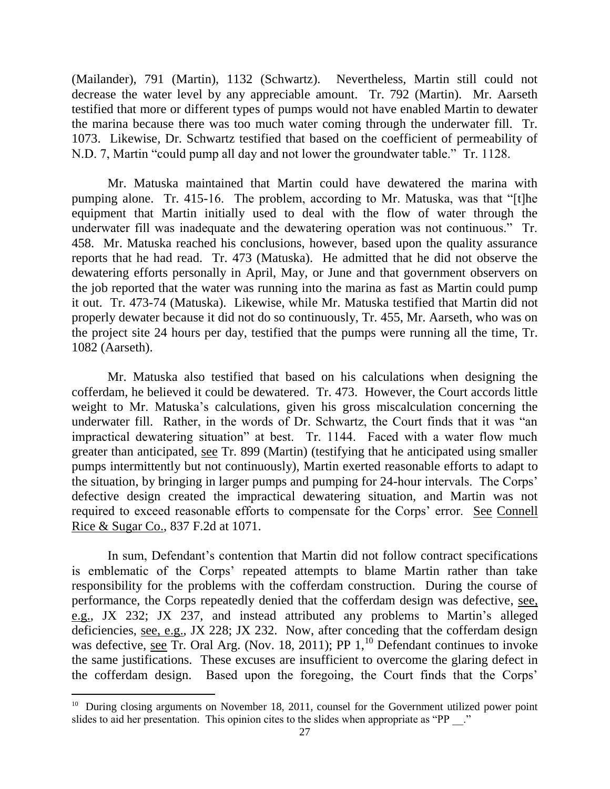(Mailander), 791 (Martin), 1132 (Schwartz). Nevertheless, Martin still could not decrease the water level by any appreciable amount. Tr. 792 (Martin). Mr. Aarseth testified that more or different types of pumps would not have enabled Martin to dewater the marina because there was too much water coming through the underwater fill. Tr. 1073. Likewise, Dr. Schwartz testified that based on the coefficient of permeability of N.D. 7, Martin "could pump all day and not lower the groundwater table." Tr. 1128.

Mr. Matuska maintained that Martin could have dewatered the marina with pumping alone. Tr. 415-16. The problem, according to Mr. Matuska, was that "[t]he equipment that Martin initially used to deal with the flow of water through the underwater fill was inadequate and the dewatering operation was not continuous." Tr. 458. Mr. Matuska reached his conclusions, however, based upon the quality assurance reports that he had read. Tr. 473 (Matuska). He admitted that he did not observe the dewatering efforts personally in April, May, or June and that government observers on the job reported that the water was running into the marina as fast as Martin could pump it out. Tr. 473-74 (Matuska). Likewise, while Mr. Matuska testified that Martin did not properly dewater because it did not do so continuously, Tr. 455, Mr. Aarseth, who was on the project site 24 hours per day, testified that the pumps were running all the time, Tr. 1082 (Aarseth).

Mr. Matuska also testified that based on his calculations when designing the cofferdam, he believed it could be dewatered. Tr. 473. However, the Court accords little weight to Mr. Matuska's calculations, given his gross miscalculation concerning the underwater fill. Rather, in the words of Dr. Schwartz, the Court finds that it was "an impractical dewatering situation" at best. Tr. 1144. Faced with a water flow much greater than anticipated, see Tr. 899 (Martin) (testifying that he anticipated using smaller pumps intermittently but not continuously), Martin exerted reasonable efforts to adapt to the situation, by bringing in larger pumps and pumping for 24-hour intervals. The Corps' defective design created the impractical dewatering situation, and Martin was not required to exceed reasonable efforts to compensate for the Corps' error. See Connell Rice & Sugar Co., 837 F.2d at 1071.

In sum, Defendant's contention that Martin did not follow contract specifications is emblematic of the Corps' repeated attempts to blame Martin rather than take responsibility for the problems with the cofferdam construction. During the course of performance, the Corps repeatedly denied that the cofferdam design was defective, see, e.g., JX 232; JX 237, and instead attributed any problems to Martin's alleged deficiencies, see, e.g., JX 228; JX 232. Now, after conceding that the cofferdam design was defective, see Tr. Oral Arg. (Nov. 18, 2011); PP  $1<sup>10</sup>$  Defendant continues to invoke the same justifications. These excuses are insufficient to overcome the glaring defect in the cofferdam design. Based upon the foregoing, the Court finds that the Corps'

 $\overline{a}$ 

<sup>&</sup>lt;sup>10</sup> During closing arguments on November 18, 2011, counsel for the Government utilized power point slides to aid her presentation. This opinion cites to the slides when appropriate as "PP".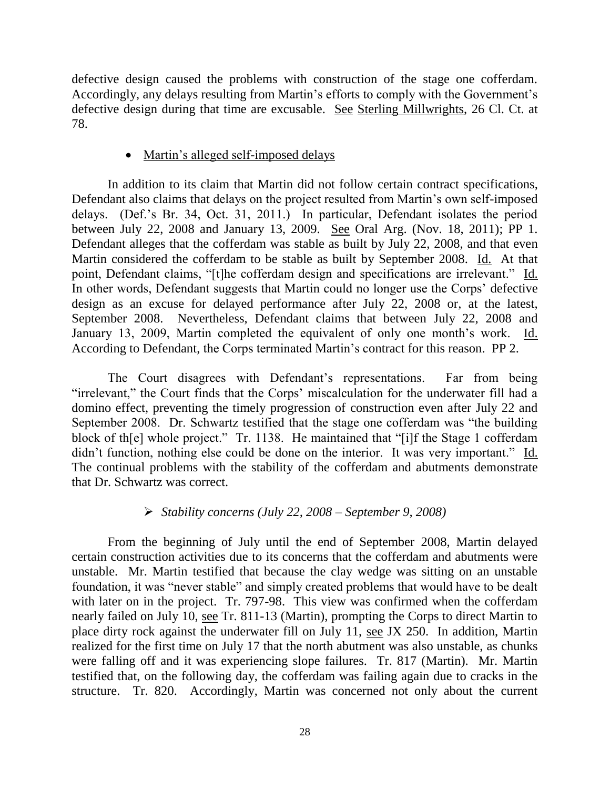defective design caused the problems with construction of the stage one cofferdam. Accordingly, any delays resulting from Martin's efforts to comply with the Government's defective design during that time are excusable. See Sterling Millwrights, 26 Cl. Ct. at 78.

## • Martin's alleged self-imposed delays

In addition to its claim that Martin did not follow certain contract specifications, Defendant also claims that delays on the project resulted from Martin's own self-imposed delays. (Def.'s Br. 34, Oct. 31, 2011.) In particular, Defendant isolates the period between July 22, 2008 and January 13, 2009. See Oral Arg. (Nov. 18, 2011); PP 1. Defendant alleges that the cofferdam was stable as built by July 22, 2008, and that even Martin considered the cofferdam to be stable as built by September 2008. Id. At that point, Defendant claims, "[t]he cofferdam design and specifications are irrelevant." Id. In other words, Defendant suggests that Martin could no longer use the Corps' defective design as an excuse for delayed performance after July 22, 2008 or, at the latest, September 2008. Nevertheless, Defendant claims that between July 22, 2008 and January 13, 2009, Martin completed the equivalent of only one month's work. Id. According to Defendant, the Corps terminated Martin's contract for this reason. PP 2.

The Court disagrees with Defendant's representations. Far from being "irrelevant," the Court finds that the Corps' miscalculation for the underwater fill had a domino effect, preventing the timely progression of construction even after July 22 and September 2008. Dr. Schwartz testified that the stage one cofferdam was "the building block of th[e] whole project." Tr. 1138. He maintained that "[i]f the Stage 1 cofferdam didn't function, nothing else could be done on the interior. It was very important." Id. The continual problems with the stability of the cofferdam and abutments demonstrate that Dr. Schwartz was correct.

## *Stability concerns (July 22, 2008 – September 9, 2008)*

From the beginning of July until the end of September 2008, Martin delayed certain construction activities due to its concerns that the cofferdam and abutments were unstable. Mr. Martin testified that because the clay wedge was sitting on an unstable foundation, it was "never stable" and simply created problems that would have to be dealt with later on in the project. Tr. 797-98. This view was confirmed when the cofferdam nearly failed on July 10, see Tr. 811-13 (Martin), prompting the Corps to direct Martin to place dirty rock against the underwater fill on July 11, see JX 250. In addition, Martin realized for the first time on July 17 that the north abutment was also unstable, as chunks were falling off and it was experiencing slope failures. Tr. 817 (Martin). Mr. Martin testified that, on the following day, the cofferdam was failing again due to cracks in the structure. Tr. 820. Accordingly, Martin was concerned not only about the current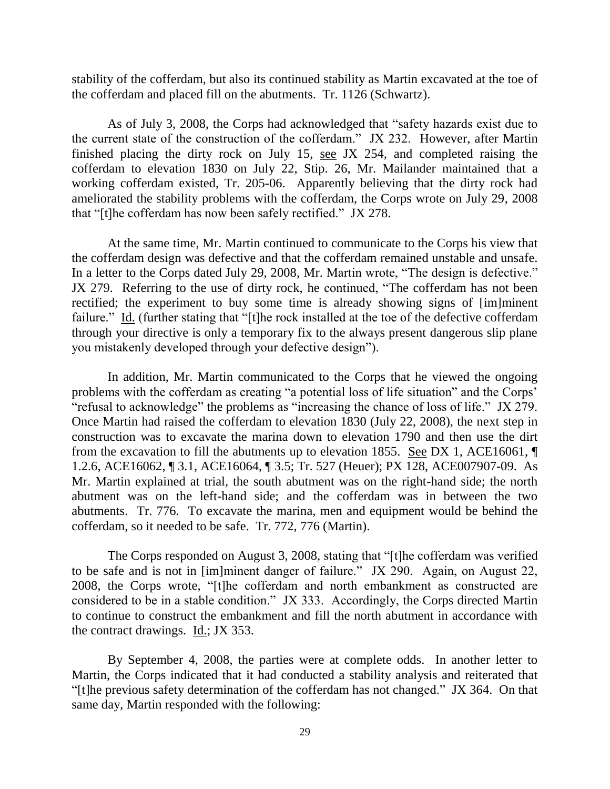stability of the cofferdam, but also its continued stability as Martin excavated at the toe of the cofferdam and placed fill on the abutments. Tr. 1126 (Schwartz).

As of July 3, 2008, the Corps had acknowledged that "safety hazards exist due to the current state of the construction of the cofferdam." JX 232. However, after Martin finished placing the dirty rock on July 15, see JX 254, and completed raising the cofferdam to elevation 1830 on July 22, Stip. 26, Mr. Mailander maintained that a working cofferdam existed, Tr. 205-06. Apparently believing that the dirty rock had ameliorated the stability problems with the cofferdam, the Corps wrote on July 29, 2008 that "[t]he cofferdam has now been safely rectified." JX 278.

At the same time, Mr. Martin continued to communicate to the Corps his view that the cofferdam design was defective and that the cofferdam remained unstable and unsafe. In a letter to the Corps dated July 29, 2008, Mr. Martin wrote, "The design is defective." JX 279. Referring to the use of dirty rock, he continued, "The cofferdam has not been rectified; the experiment to buy some time is already showing signs of [im]minent failure." Id. (further stating that "[t]he rock installed at the toe of the defective cofferdam through your directive is only a temporary fix to the always present dangerous slip plane you mistakenly developed through your defective design").

In addition, Mr. Martin communicated to the Corps that he viewed the ongoing problems with the cofferdam as creating "a potential loss of life situation" and the Corps' "refusal to acknowledge" the problems as "increasing the chance of loss of life." JX 279. Once Martin had raised the cofferdam to elevation 1830 (July 22, 2008), the next step in construction was to excavate the marina down to elevation 1790 and then use the dirt from the excavation to fill the abutments up to elevation 1855. See DX 1, ACE16061, ¶ 1.2.6, ACE16062, ¶ 3.1, ACE16064, ¶ 3.5; Tr. 527 (Heuer); PX 128, ACE007907-09. As Mr. Martin explained at trial, the south abutment was on the right-hand side; the north abutment was on the left-hand side; and the cofferdam was in between the two abutments. Tr. 776. To excavate the marina, men and equipment would be behind the cofferdam, so it needed to be safe. Tr. 772, 776 (Martin).

The Corps responded on August 3, 2008, stating that "[t]he cofferdam was verified to be safe and is not in [im]minent danger of failure." JX 290. Again, on August 22, 2008, the Corps wrote, "[t]he cofferdam and north embankment as constructed are considered to be in a stable condition." JX 333. Accordingly, the Corps directed Martin to continue to construct the embankment and fill the north abutment in accordance with the contract drawings. Id.; JX 353.

By September 4, 2008, the parties were at complete odds. In another letter to Martin, the Corps indicated that it had conducted a stability analysis and reiterated that "[t]he previous safety determination of the cofferdam has not changed." JX 364. On that same day, Martin responded with the following: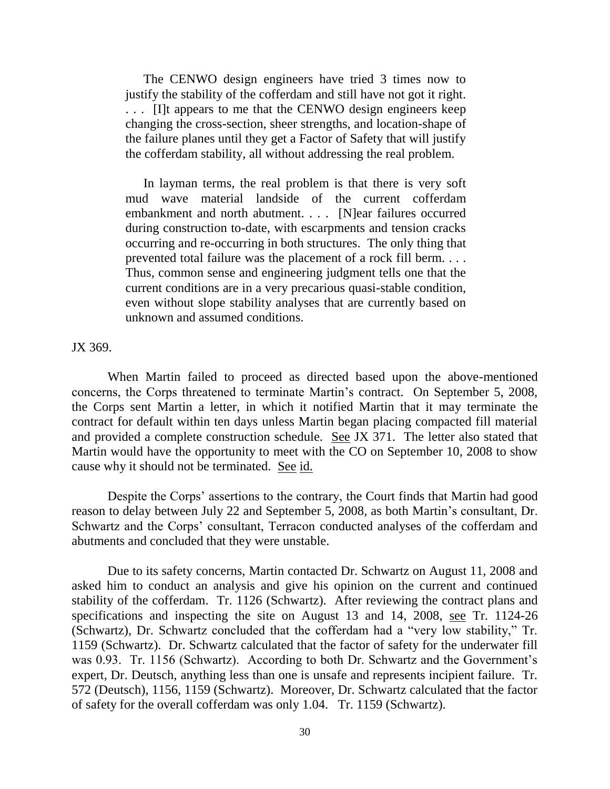The CENWO design engineers have tried 3 times now to justify the stability of the cofferdam and still have not got it right. . . . [I]t appears to me that the CENWO design engineers keep changing the cross-section, sheer strengths, and location-shape of the failure planes until they get a Factor of Safety that will justify the cofferdam stability, all without addressing the real problem.

In layman terms, the real problem is that there is very soft mud wave material landside of the current cofferdam embankment and north abutment. . . . [N]ear failures occurred during construction to-date, with escarpments and tension cracks occurring and re-occurring in both structures. The only thing that prevented total failure was the placement of a rock fill berm. . . . Thus, common sense and engineering judgment tells one that the current conditions are in a very precarious quasi-stable condition, even without slope stability analyses that are currently based on unknown and assumed conditions.

JX 369.

When Martin failed to proceed as directed based upon the above-mentioned concerns, the Corps threatened to terminate Martin's contract. On September 5, 2008, the Corps sent Martin a letter, in which it notified Martin that it may terminate the contract for default within ten days unless Martin began placing compacted fill material and provided a complete construction schedule. See JX 371. The letter also stated that Martin would have the opportunity to meet with the CO on September 10, 2008 to show cause why it should not be terminated. See id.

Despite the Corps' assertions to the contrary, the Court finds that Martin had good reason to delay between July 22 and September 5, 2008, as both Martin's consultant, Dr. Schwartz and the Corps' consultant, Terracon conducted analyses of the cofferdam and abutments and concluded that they were unstable.

Due to its safety concerns, Martin contacted Dr. Schwartz on August 11, 2008 and asked him to conduct an analysis and give his opinion on the current and continued stability of the cofferdam. Tr. 1126 (Schwartz). After reviewing the contract plans and specifications and inspecting the site on August 13 and 14, 2008, see Tr. 1124-26 (Schwartz), Dr. Schwartz concluded that the cofferdam had a "very low stability," Tr. 1159 (Schwartz). Dr. Schwartz calculated that the factor of safety for the underwater fill was 0.93. Tr. 1156 (Schwartz). According to both Dr. Schwartz and the Government's expert, Dr. Deutsch, anything less than one is unsafe and represents incipient failure. Tr. 572 (Deutsch), 1156, 1159 (Schwartz). Moreover, Dr. Schwartz calculated that the factor of safety for the overall cofferdam was only 1.04. Tr. 1159 (Schwartz).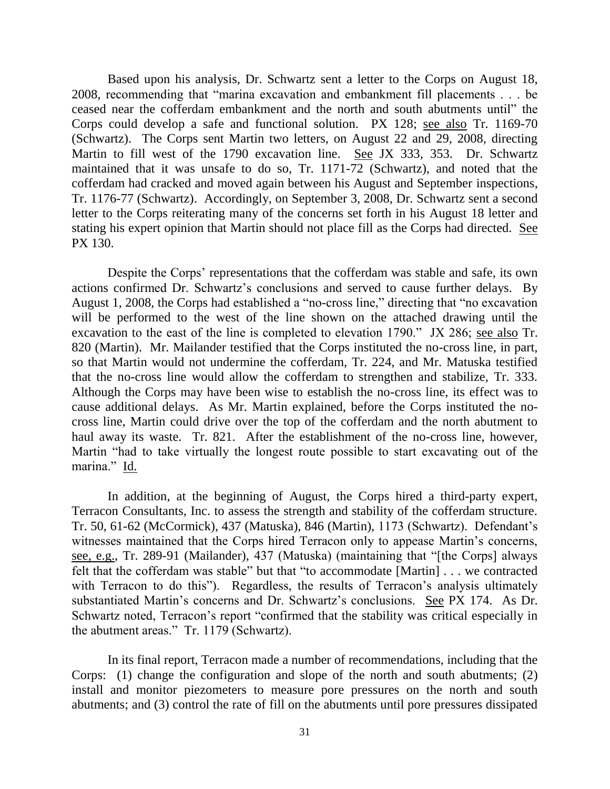Based upon his analysis, Dr. Schwartz sent a letter to the Corps on August 18, 2008, recommending that "marina excavation and embankment fill placements . . . be ceased near the cofferdam embankment and the north and south abutments until" the Corps could develop a safe and functional solution. PX 128; see also Tr. 1169-70 (Schwartz). The Corps sent Martin two letters, on August 22 and 29, 2008, directing Martin to fill west of the 1790 excavation line. See JX 333, 353. Dr. Schwartz maintained that it was unsafe to do so, Tr. 1171-72 (Schwartz), and noted that the cofferdam had cracked and moved again between his August and September inspections, Tr. 1176-77 (Schwartz). Accordingly, on September 3, 2008, Dr. Schwartz sent a second letter to the Corps reiterating many of the concerns set forth in his August 18 letter and stating his expert opinion that Martin should not place fill as the Corps had directed. See PX 130.

Despite the Corps' representations that the cofferdam was stable and safe, its own actions confirmed Dr. Schwartz's conclusions and served to cause further delays. By August 1, 2008, the Corps had established a "no-cross line," directing that "no excavation will be performed to the west of the line shown on the attached drawing until the excavation to the east of the line is completed to elevation 1790." JX 286; see also Tr. 820 (Martin). Mr. Mailander testified that the Corps instituted the no-cross line, in part, so that Martin would not undermine the cofferdam, Tr. 224, and Mr. Matuska testified that the no-cross line would allow the cofferdam to strengthen and stabilize, Tr. 333. Although the Corps may have been wise to establish the no-cross line, its effect was to cause additional delays. As Mr. Martin explained, before the Corps instituted the nocross line, Martin could drive over the top of the cofferdam and the north abutment to haul away its waste. Tr. 821. After the establishment of the no-cross line, however, Martin "had to take virtually the longest route possible to start excavating out of the marina." Id.

In addition, at the beginning of August, the Corps hired a third-party expert, Terracon Consultants, Inc. to assess the strength and stability of the cofferdam structure. Tr. 50, 61-62 (McCormick), 437 (Matuska), 846 (Martin), 1173 (Schwartz). Defendant's witnesses maintained that the Corps hired Terracon only to appease Martin's concerns, see, e.g., Tr. 289-91 (Mailander), 437 (Matuska) (maintaining that "[the Corps] always felt that the cofferdam was stable" but that "to accommodate [Martin] . . . we contracted with Terracon to do this"). Regardless, the results of Terracon's analysis ultimately substantiated Martin's concerns and Dr. Schwartz's conclusions. See PX 174. As Dr. Schwartz noted, Terracon's report "confirmed that the stability was critical especially in the abutment areas." Tr. 1179 (Schwartz).

In its final report, Terracon made a number of recommendations, including that the Corps: (1) change the configuration and slope of the north and south abutments; (2) install and monitor piezometers to measure pore pressures on the north and south abutments; and (3) control the rate of fill on the abutments until pore pressures dissipated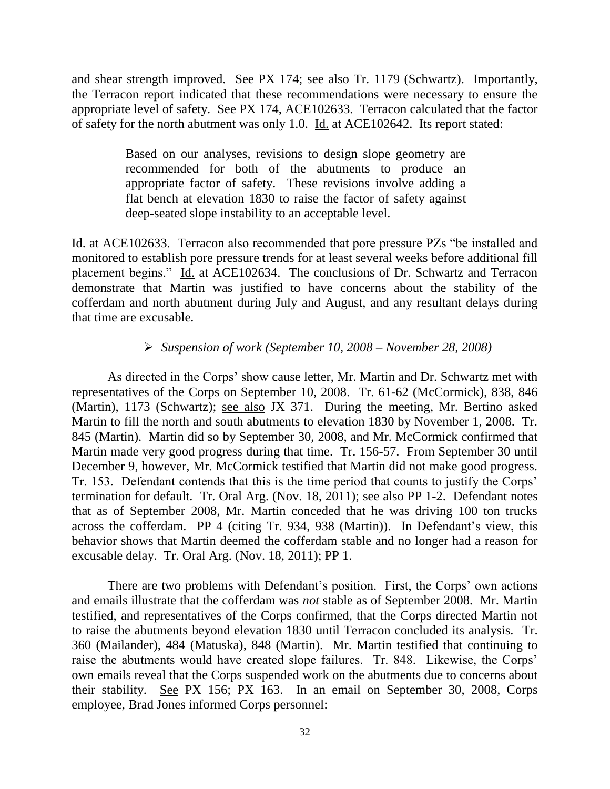and shear strength improved. <u>See</u> PX 174; <u>see also</u> Tr. 1179 (Schwartz). Importantly, the Terracon report indicated that these recommendations were necessary to ensure the appropriate level of safety. See PX 174, ACE102633. Terracon calculated that the factor of safety for the north abutment was only 1.0. Id. at ACE102642. Its report stated:

> Based on our analyses, revisions to design slope geometry are recommended for both of the abutments to produce an appropriate factor of safety. These revisions involve adding a flat bench at elevation 1830 to raise the factor of safety against deep-seated slope instability to an acceptable level.

Id. at ACE102633. Terracon also recommended that pore pressure PZs "be installed and monitored to establish pore pressure trends for at least several weeks before additional fill placement begins." Id. at ACE102634. The conclusions of Dr. Schwartz and Terracon demonstrate that Martin was justified to have concerns about the stability of the cofferdam and north abutment during July and August, and any resultant delays during that time are excusable.

### *Suspension of work (September 10, 2008 – November 28, 2008)*

As directed in the Corps' show cause letter, Mr. Martin and Dr. Schwartz met with representatives of the Corps on September 10, 2008. Tr. 61-62 (McCormick), 838, 846 (Martin), 1173 (Schwartz); see also JX 371. During the meeting, Mr. Bertino asked Martin to fill the north and south abutments to elevation 1830 by November 1, 2008. Tr. 845 (Martin). Martin did so by September 30, 2008, and Mr. McCormick confirmed that Martin made very good progress during that time. Tr. 156-57. From September 30 until December 9, however, Mr. McCormick testified that Martin did not make good progress. Tr. 153. Defendant contends that this is the time period that counts to justify the Corps' termination for default. Tr. Oral Arg. (Nov. 18, 2011); see also PP 1-2. Defendant notes that as of September 2008, Mr. Martin conceded that he was driving 100 ton trucks across the cofferdam. PP 4 (citing Tr. 934, 938 (Martin)). In Defendant's view, this behavior shows that Martin deemed the cofferdam stable and no longer had a reason for excusable delay. Tr. Oral Arg. (Nov. 18, 2011); PP 1.

There are two problems with Defendant's position. First, the Corps' own actions and emails illustrate that the cofferdam was *not* stable as of September 2008. Mr. Martin testified, and representatives of the Corps confirmed, that the Corps directed Martin not to raise the abutments beyond elevation 1830 until Terracon concluded its analysis. Tr. 360 (Mailander), 484 (Matuska), 848 (Martin). Mr. Martin testified that continuing to raise the abutments would have created slope failures. Tr. 848. Likewise, the Corps' own emails reveal that the Corps suspended work on the abutments due to concerns about their stability. See PX 156; PX 163. In an email on September 30, 2008, Corps employee, Brad Jones informed Corps personnel: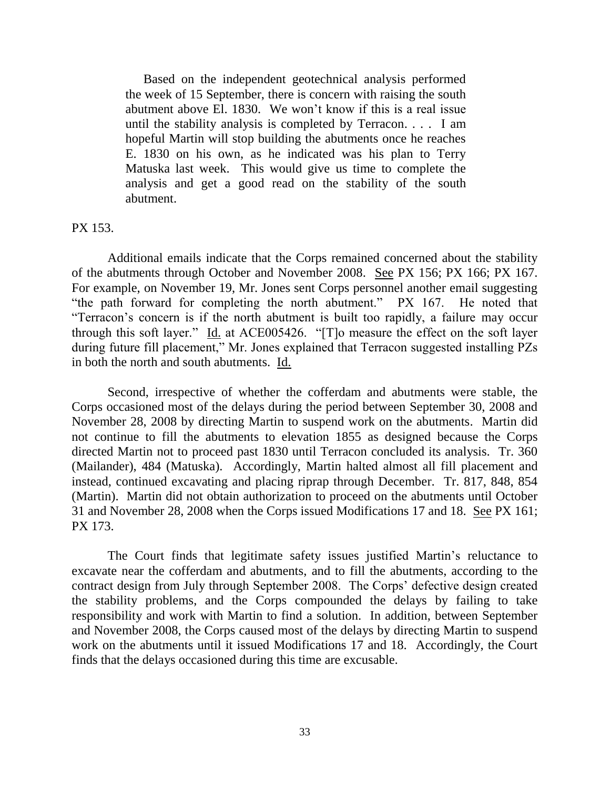Based on the independent geotechnical analysis performed the week of 15 September, there is concern with raising the south abutment above El. 1830. We won't know if this is a real issue until the stability analysis is completed by Terracon. . . . I am hopeful Martin will stop building the abutments once he reaches E. 1830 on his own, as he indicated was his plan to Terry Matuska last week. This would give us time to complete the analysis and get a good read on the stability of the south abutment.

#### PX 153.

Additional emails indicate that the Corps remained concerned about the stability of the abutments through October and November 2008. See PX 156; PX 166; PX 167. For example, on November 19, Mr. Jones sent Corps personnel another email suggesting "the path forward for completing the north abutment." PX 167. He noted that "Terracon's concern is if the north abutment is built too rapidly, a failure may occur through this soft layer." Id. at ACE005426. "[T]o measure the effect on the soft layer during future fill placement," Mr. Jones explained that Terracon suggested installing PZs in both the north and south abutments. Id.

Second, irrespective of whether the cofferdam and abutments were stable, the Corps occasioned most of the delays during the period between September 30, 2008 and November 28, 2008 by directing Martin to suspend work on the abutments. Martin did not continue to fill the abutments to elevation 1855 as designed because the Corps directed Martin not to proceed past 1830 until Terracon concluded its analysis. Tr. 360 (Mailander), 484 (Matuska). Accordingly, Martin halted almost all fill placement and instead, continued excavating and placing riprap through December. Tr. 817, 848, 854 (Martin). Martin did not obtain authorization to proceed on the abutments until October 31 and November 28, 2008 when the Corps issued Modifications 17 and 18. See PX 161; PX 173.

The Court finds that legitimate safety issues justified Martin's reluctance to excavate near the cofferdam and abutments, and to fill the abutments, according to the contract design from July through September 2008. The Corps' defective design created the stability problems, and the Corps compounded the delays by failing to take responsibility and work with Martin to find a solution. In addition, between September and November 2008, the Corps caused most of the delays by directing Martin to suspend work on the abutments until it issued Modifications 17 and 18. Accordingly, the Court finds that the delays occasioned during this time are excusable.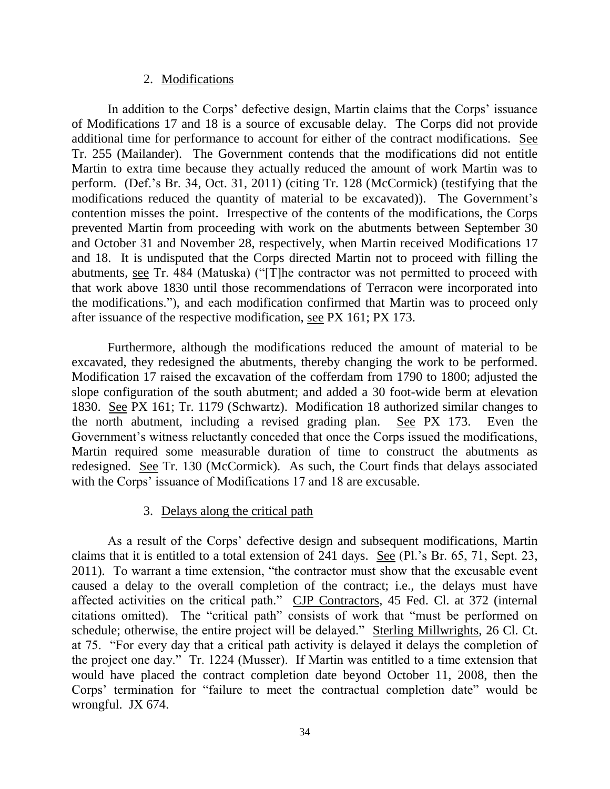#### 2. Modifications

In addition to the Corps' defective design, Martin claims that the Corps' issuance of Modifications 17 and 18 is a source of excusable delay. The Corps did not provide additional time for performance to account for either of the contract modifications. See Tr. 255 (Mailander). The Government contends that the modifications did not entitle Martin to extra time because they actually reduced the amount of work Martin was to perform. (Def.'s Br. 34, Oct. 31, 2011) (citing Tr. 128 (McCormick) (testifying that the modifications reduced the quantity of material to be excavated)). The Government's contention misses the point. Irrespective of the contents of the modifications, the Corps prevented Martin from proceeding with work on the abutments between September 30 and October 31 and November 28, respectively, when Martin received Modifications 17 and 18. It is undisputed that the Corps directed Martin not to proceed with filling the abutments, see Tr. 484 (Matuska) ("[T]he contractor was not permitted to proceed with that work above 1830 until those recommendations of Terracon were incorporated into the modifications."), and each modification confirmed that Martin was to proceed only after issuance of the respective modification, see PX 161; PX 173.

Furthermore, although the modifications reduced the amount of material to be excavated, they redesigned the abutments, thereby changing the work to be performed. Modification 17 raised the excavation of the cofferdam from 1790 to 1800; adjusted the slope configuration of the south abutment; and added a 30 foot-wide berm at elevation 1830. See PX 161; Tr. 1179 (Schwartz). Modification 18 authorized similar changes to the north abutment, including a revised grading plan. See PX 173. Even the Government's witness reluctantly conceded that once the Corps issued the modifications, Martin required some measurable duration of time to construct the abutments as redesigned. See Tr. 130 (McCormick). As such, the Court finds that delays associated with the Corps' issuance of Modifications 17 and 18 are excusable.

## 3. Delays along the critical path

As a result of the Corps' defective design and subsequent modifications, Martin claims that it is entitled to a total extension of 241 days. See (Pl.'s Br. 65, 71, Sept. 23, 2011). To warrant a time extension, "the contractor must show that the excusable event caused a delay to the overall completion of the contract; i.e., the delays must have affected activities on the critical path." CJP Contractors, 45 Fed. Cl. at 372 (internal citations omitted). The "critical path" consists of work that "must be performed on schedule; otherwise, the entire project will be delayed." Sterling Millwrights, 26 Cl. Ct. at 75. "For every day that a critical path activity is delayed it delays the completion of the project one day." Tr. 1224 (Musser). If Martin was entitled to a time extension that would have placed the contract completion date beyond October 11, 2008, then the Corps' termination for "failure to meet the contractual completion date" would be wrongful. JX 674.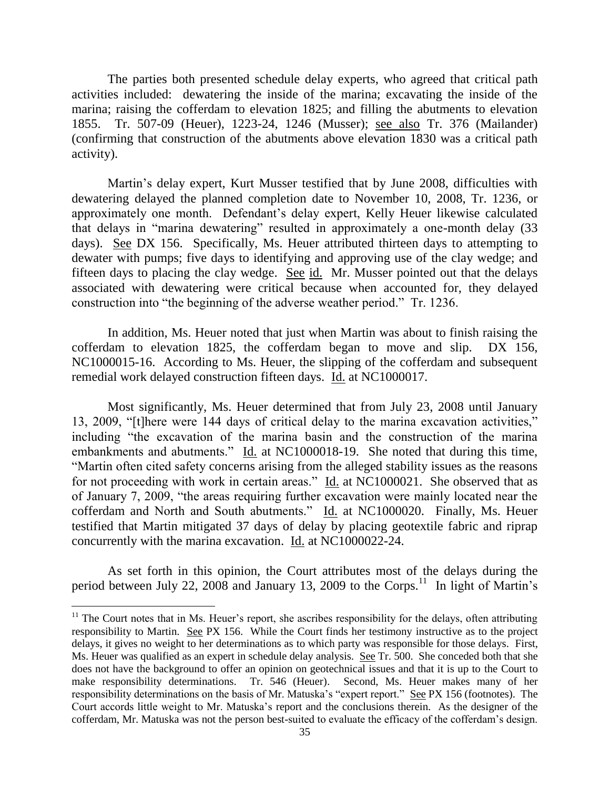The parties both presented schedule delay experts, who agreed that critical path activities included: dewatering the inside of the marina; excavating the inside of the marina; raising the cofferdam to elevation 1825; and filling the abutments to elevation 1855. Tr. 507-09 (Heuer), 1223-24, 1246 (Musser); see also Tr. 376 (Mailander) (confirming that construction of the abutments above elevation 1830 was a critical path activity).

Martin's delay expert, Kurt Musser testified that by June 2008, difficulties with dewatering delayed the planned completion date to November 10, 2008, Tr. 1236, or approximately one month. Defendant's delay expert, Kelly Heuer likewise calculated that delays in "marina dewatering" resulted in approximately a one-month delay (33 days). See DX 156. Specifically, Ms. Heuer attributed thirteen days to attempting to dewater with pumps; five days to identifying and approving use of the clay wedge; and fifteen days to placing the clay wedge. See id. Mr. Musser pointed out that the delays associated with dewatering were critical because when accounted for, they delayed construction into "the beginning of the adverse weather period." Tr. 1236.

In addition, Ms. Heuer noted that just when Martin was about to finish raising the cofferdam to elevation 1825, the cofferdam began to move and slip. DX 156, NC1000015-16. According to Ms. Heuer, the slipping of the cofferdam and subsequent remedial work delayed construction fifteen days. Id. at NC1000017.

Most significantly, Ms. Heuer determined that from July 23, 2008 until January 13, 2009, "[t]here were 144 days of critical delay to the marina excavation activities," including "the excavation of the marina basin and the construction of the marina embankments and abutments." Id. at NC1000018-19. She noted that during this time, "Martin often cited safety concerns arising from the alleged stability issues as the reasons for not proceeding with work in certain areas." Id. at NC1000021. She observed that as of January 7, 2009, "the areas requiring further excavation were mainly located near the cofferdam and North and South abutments." Id. at NC1000020. Finally, Ms. Heuer testified that Martin mitigated 37 days of delay by placing geotextile fabric and riprap concurrently with the marina excavation. Id. at NC1000022-24.

As set forth in this opinion, the Court attributes most of the delays during the period between July 22, 2008 and January 13, 2009 to the Corps.<sup>11</sup> In light of Martin's

 $\overline{a}$ 

<sup>&</sup>lt;sup>11</sup> The Court notes that in Ms. Heuer's report, she ascribes responsibility for the delays, often attributing responsibility to Martin. See PX 156. While the Court finds her testimony instructive as to the project delays, it gives no weight to her determinations as to which party was responsible for those delays. First, Ms. Heuer was qualified as an expert in schedule delay analysis. See Tr. 500. She conceded both that she does not have the background to offer an opinion on geotechnical issues and that it is up to the Court to make responsibility determinations. Tr. 546 (Heuer). Second, Ms. Heuer makes many of her responsibility determinations on the basis of Mr. Matuska's "expert report." See PX 156 (footnotes). The Court accords little weight to Mr. Matuska's report and the conclusions therein. As the designer of the cofferdam, Mr. Matuska was not the person best-suited to evaluate the efficacy of the cofferdam's design.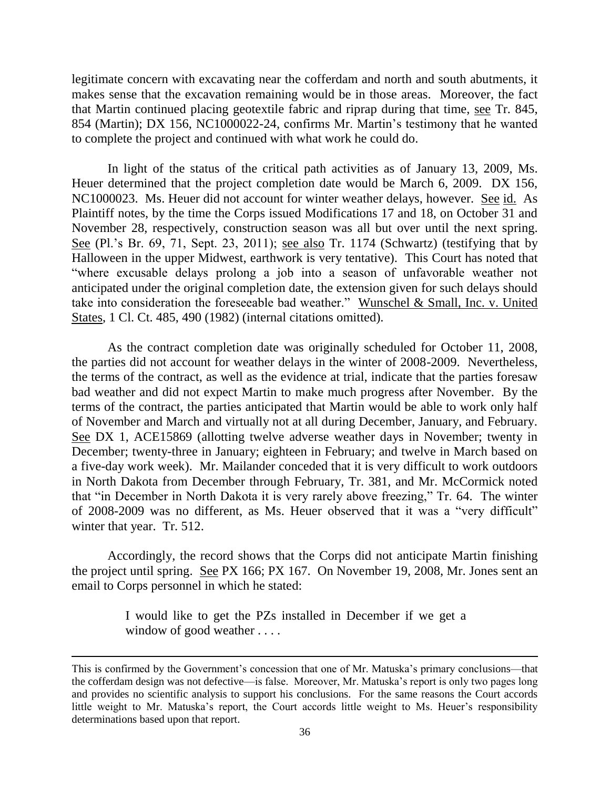legitimate concern with excavating near the cofferdam and north and south abutments, it makes sense that the excavation remaining would be in those areas. Moreover, the fact that Martin continued placing geotextile fabric and riprap during that time, see Tr. 845, 854 (Martin); DX 156, NC1000022-24, confirms Mr. Martin's testimony that he wanted to complete the project and continued with what work he could do.

In light of the status of the critical path activities as of January 13, 2009, Ms. Heuer determined that the project completion date would be March 6, 2009. DX 156, NC1000023. Ms. Heuer did not account for winter weather delays, however. See id. As Plaintiff notes, by the time the Corps issued Modifications 17 and 18, on October 31 and November 28, respectively, construction season was all but over until the next spring. See (Pl.'s Br. 69, 71, Sept. 23, 2011); see also Tr. 1174 (Schwartz) (testifying that by Halloween in the upper Midwest, earthwork is very tentative). This Court has noted that "where excusable delays prolong a job into a season of unfavorable weather not anticipated under the original completion date, the extension given for such delays should take into consideration the foreseeable bad weather." Wunschel & Small, Inc. v. United States, 1 Cl. Ct. 485, 490 (1982) (internal citations omitted).

As the contract completion date was originally scheduled for October 11, 2008, the parties did not account for weather delays in the winter of 2008-2009. Nevertheless, the terms of the contract, as well as the evidence at trial, indicate that the parties foresaw bad weather and did not expect Martin to make much progress after November. By the terms of the contract, the parties anticipated that Martin would be able to work only half of November and March and virtually not at all during December, January, and February. See DX 1, ACE15869 (allotting twelve adverse weather days in November; twenty in December; twenty-three in January; eighteen in February; and twelve in March based on a five-day work week). Mr. Mailander conceded that it is very difficult to work outdoors in North Dakota from December through February, Tr. 381, and Mr. McCormick noted that "in December in North Dakota it is very rarely above freezing," Tr. 64. The winter of 2008-2009 was no different, as Ms. Heuer observed that it was a "very difficult" winter that year. Tr. 512.

Accordingly, the record shows that the Corps did not anticipate Martin finishing the project until spring. See PX 166; PX 167. On November 19, 2008, Mr. Jones sent an email to Corps personnel in which he stated:

> I would like to get the PZs installed in December if we get a window of good weather . . . .

This is confirmed by the Government's concession that one of Mr. Matuska's primary conclusions—that the cofferdam design was not defective—is false. Moreover, Mr. Matuska's report is only two pages long and provides no scientific analysis to support his conclusions. For the same reasons the Court accords little weight to Mr. Matuska's report, the Court accords little weight to Ms. Heuer's responsibility determinations based upon that report.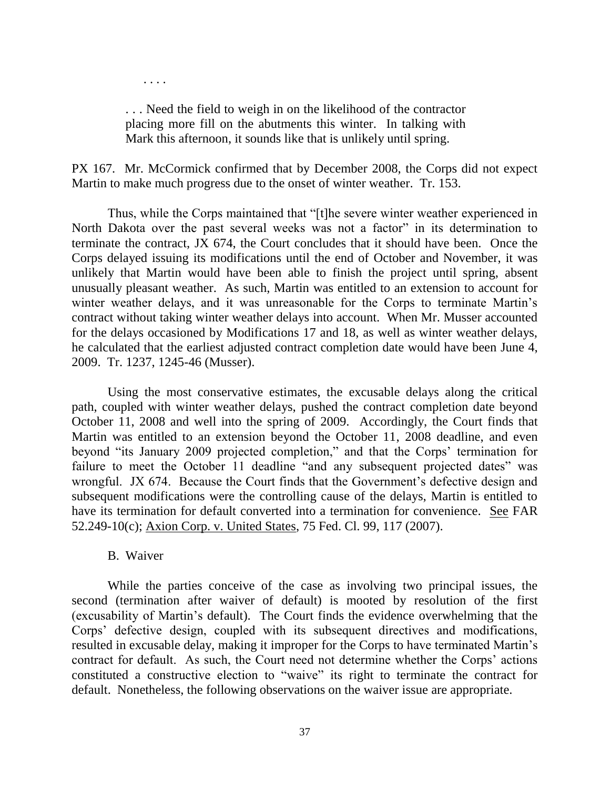. . . Need the field to weigh in on the likelihood of the contractor placing more fill on the abutments this winter. In talking with Mark this afternoon, it sounds like that is unlikely until spring.

PX 167. Mr. McCormick confirmed that by December 2008, the Corps did not expect Martin to make much progress due to the onset of winter weather. Tr. 153.

Thus, while the Corps maintained that "[t]he severe winter weather experienced in North Dakota over the past several weeks was not a factor" in its determination to terminate the contract, JX 674, the Court concludes that it should have been. Once the Corps delayed issuing its modifications until the end of October and November, it was unlikely that Martin would have been able to finish the project until spring, absent unusually pleasant weather. As such, Martin was entitled to an extension to account for winter weather delays, and it was unreasonable for the Corps to terminate Martin's contract without taking winter weather delays into account. When Mr. Musser accounted for the delays occasioned by Modifications 17 and 18, as well as winter weather delays, he calculated that the earliest adjusted contract completion date would have been June 4, 2009. Tr. 1237, 1245-46 (Musser).

Using the most conservative estimates, the excusable delays along the critical path, coupled with winter weather delays, pushed the contract completion date beyond October 11, 2008 and well into the spring of 2009. Accordingly, the Court finds that Martin was entitled to an extension beyond the October 11, 2008 deadline, and even beyond "its January 2009 projected completion," and that the Corps' termination for failure to meet the October 11 deadline "and any subsequent projected dates" was wrongful. JX 674. Because the Court finds that the Government's defective design and subsequent modifications were the controlling cause of the delays, Martin is entitled to have its termination for default converted into a termination for convenience. See FAR 52.249-10(c); Axion Corp. v. United States, 75 Fed. Cl. 99, 117 (2007).

#### B. Waiver

. . . .

While the parties conceive of the case as involving two principal issues, the second (termination after waiver of default) is mooted by resolution of the first (excusability of Martin's default). The Court finds the evidence overwhelming that the Corps' defective design, coupled with its subsequent directives and modifications, resulted in excusable delay, making it improper for the Corps to have terminated Martin's contract for default. As such, the Court need not determine whether the Corps' actions constituted a constructive election to "waive" its right to terminate the contract for default. Nonetheless, the following observations on the waiver issue are appropriate.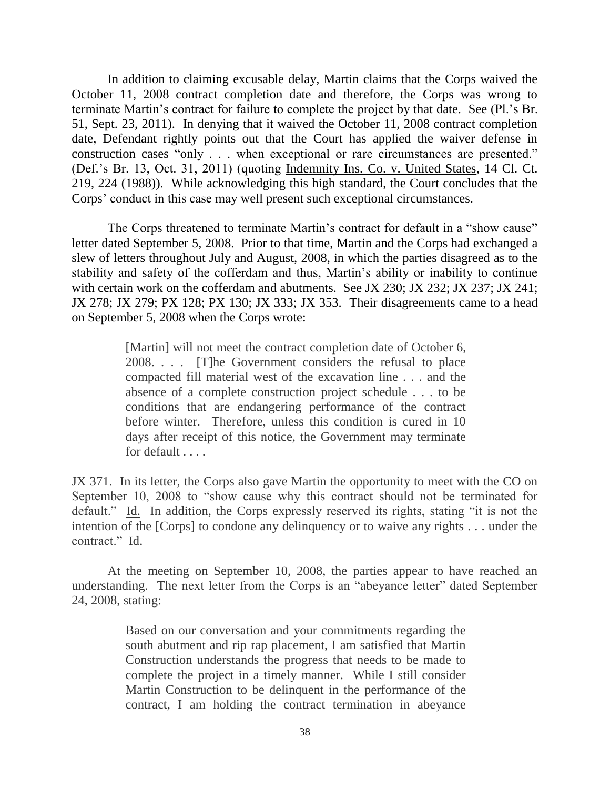In addition to claiming excusable delay, Martin claims that the Corps waived the October 11, 2008 contract completion date and therefore, the Corps was wrong to terminate Martin's contract for failure to complete the project by that date. See (Pl.'s Br. 51, Sept. 23, 2011). In denying that it waived the October 11, 2008 contract completion date, Defendant rightly points out that the Court has applied the waiver defense in construction cases "only . . . when exceptional or rare circumstances are presented." (Def.'s Br. 13, Oct. 31, 2011) (quoting Indemnity Ins. Co. v. United States, 14 Cl. Ct. 219, 224 (1988)). While acknowledging this high standard, the Court concludes that the Corps' conduct in this case may well present such exceptional circumstances.

The Corps threatened to terminate Martin's contract for default in a "show cause" letter dated September 5, 2008. Prior to that time, Martin and the Corps had exchanged a slew of letters throughout July and August, 2008, in which the parties disagreed as to the stability and safety of the cofferdam and thus, Martin's ability or inability to continue with certain work on the cofferdam and abutments. See JX 230; JX 232; JX 237; JX 241; JX 278; JX 279; PX 128; PX 130; JX 333; JX 353. Their disagreements came to a head on September 5, 2008 when the Corps wrote:

> [Martin] will not meet the contract completion date of October 6, 2008. . . . [T]he Government considers the refusal to place compacted fill material west of the excavation line . . . and the absence of a complete construction project schedule . . . to be conditions that are endangering performance of the contract before winter. Therefore, unless this condition is cured in 10 days after receipt of this notice, the Government may terminate for default . . . .

JX 371. In its letter, the Corps also gave Martin the opportunity to meet with the CO on September 10, 2008 to "show cause why this contract should not be terminated for default." Id. In addition, the Corps expressly reserved its rights, stating "it is not the intention of the [Corps] to condone any delinquency or to waive any rights . . . under the contract." Id.

At the meeting on September 10, 2008, the parties appear to have reached an understanding. The next letter from the Corps is an "abeyance letter" dated September 24, 2008, stating:

> Based on our conversation and your commitments regarding the south abutment and rip rap placement, I am satisfied that Martin Construction understands the progress that needs to be made to complete the project in a timely manner. While I still consider Martin Construction to be delinquent in the performance of the contract, I am holding the contract termination in abeyance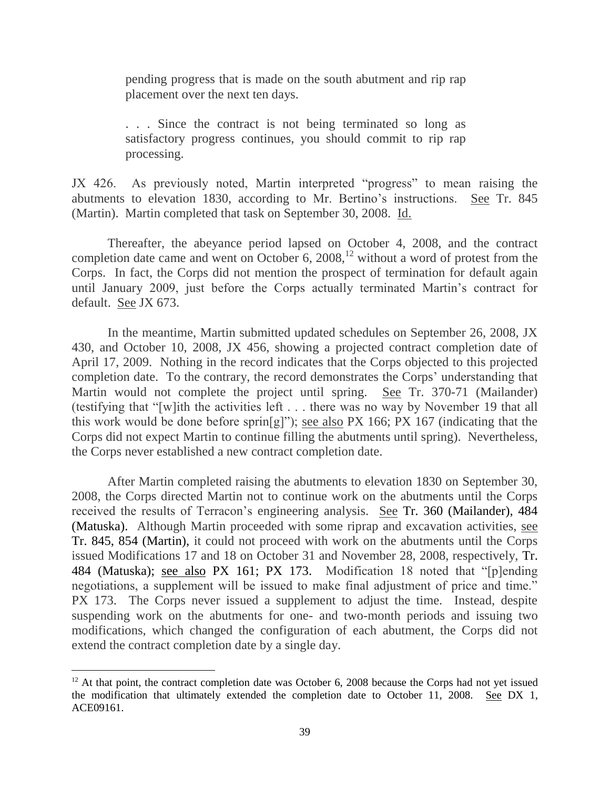pending progress that is made on the south abutment and rip rap placement over the next ten days.

. . . Since the contract is not being terminated so long as satisfactory progress continues, you should commit to rip rap processing.

JX 426. As previously noted, Martin interpreted "progress" to mean raising the abutments to elevation 1830, according to Mr. Bertino's instructions. See Tr. 845 (Martin). Martin completed that task on September 30, 2008. Id.

Thereafter, the abeyance period lapsed on October 4, 2008, and the contract completion date came and went on October 6, 2008, $^{12}$  without a word of protest from the Corps. In fact, the Corps did not mention the prospect of termination for default again until January 2009, just before the Corps actually terminated Martin's contract for default. See JX 673.

In the meantime, Martin submitted updated schedules on September 26, 2008, JX 430, and October 10, 2008, JX 456, showing a projected contract completion date of April 17, 2009. Nothing in the record indicates that the Corps objected to this projected completion date. To the contrary, the record demonstrates the Corps' understanding that Martin would not complete the project until spring. See Tr. 370-71 (Mailander) (testifying that "[w]ith the activities left . . . there was no way by November 19 that all this work would be done before sprin[g]"); see also PX 166; PX 167 (indicating that the Corps did not expect Martin to continue filling the abutments until spring). Nevertheless, the Corps never established a new contract completion date.

After Martin completed raising the abutments to elevation 1830 on September 30, 2008, the Corps directed Martin not to continue work on the abutments until the Corps received the results of Terracon's engineering analysis. See Tr. 360 (Mailander), 484 (Matuska). Although Martin proceeded with some riprap and excavation activities, see Tr. 845, 854 (Martin), it could not proceed with work on the abutments until the Corps issued Modifications 17 and 18 on October 31 and November 28, 2008, respectively, Tr. 484 (Matuska); see also PX 161; PX 173. Modification 18 noted that "[p]ending negotiations, a supplement will be issued to make final adjustment of price and time." PX 173. The Corps never issued a supplement to adjust the time. Instead, despite suspending work on the abutments for one- and two-month periods and issuing two modifications, which changed the configuration of each abutment, the Corps did not extend the contract completion date by a single day.

 $\overline{a}$ 

 $12$  At that point, the contract completion date was October 6, 2008 because the Corps had not yet issued the modification that ultimately extended the completion date to October 11, 2008. See DX 1, ACE09161.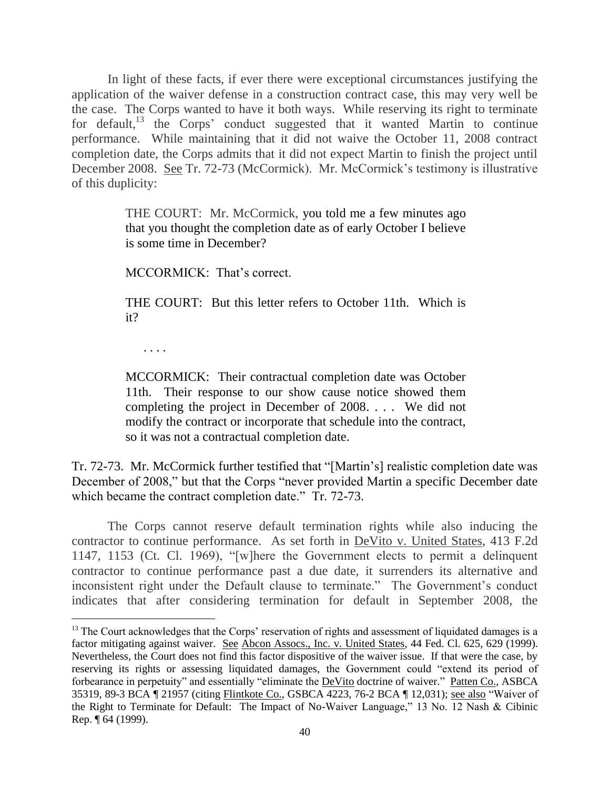In light of these facts, if ever there were exceptional circumstances justifying the application of the waiver defense in a construction contract case, this may very well be the case. The Corps wanted to have it both ways. While reserving its right to terminate for default,<sup>13</sup> the Corps' conduct suggested that it wanted Martin to continue performance. While maintaining that it did not waive the October 11, 2008 contract completion date, the Corps admits that it did not expect Martin to finish the project until December 2008. See Tr. 72-73 (McCormick). Mr. McCormick's testimony is illustrative of this duplicity:

> THE COURT: Mr. McCormick, you told me a few minutes ago that you thought the completion date as of early October I believe is some time in December?

MCCORMICK: That's correct.

THE COURT: But this letter refers to October 11th. Which is it?

. . . .

MCCORMICK: Their contractual completion date was October 11th. Their response to our show cause notice showed them completing the project in December of 2008. . . . We did not modify the contract or incorporate that schedule into the contract, so it was not a contractual completion date.

Tr. 72-73. Mr. McCormick further testified that "[Martin's] realistic completion date was December of 2008," but that the Corps "never provided Martin a specific December date which became the contract completion date." Tr. 72-73.

The Corps cannot reserve default termination rights while also inducing the contractor to continue performance. As set forth in DeVito v. United States, 413 F.2d 1147, 1153 (Ct. Cl. 1969), "[w]here the Government elects to permit a delinquent contractor to continue performance past a due date, it surrenders its alternative and inconsistent right under the Default clause to terminate." The Government's conduct indicates that after considering termination for default in September 2008, the

 $13$  The Court acknowledges that the Corps' reservation of rights and assessment of liquidated damages is a factor mitigating against waiver. See Abcon Assocs., Inc. v. United States, 44 Fed. Cl. 625, 629 (1999). Nevertheless, the Court does not find this factor dispositive of the waiver issue. If that were the case, by reserving its rights or assessing liquidated damages, the Government could "extend its period of forbearance in perpetuity" and essentially "eliminate the **DeVito** doctrine of waiver." Patten Co., ASBCA 35319, 89-3 BCA ¶ 21957 (citing Flintkote Co., GSBCA 4223, 76-2 BCA ¶ 12,031); see also "Waiver of the Right to Terminate for Default: The Impact of No-Waiver Language," 13 No. 12 Nash & Cibinic Rep. ¶ 64 (1999).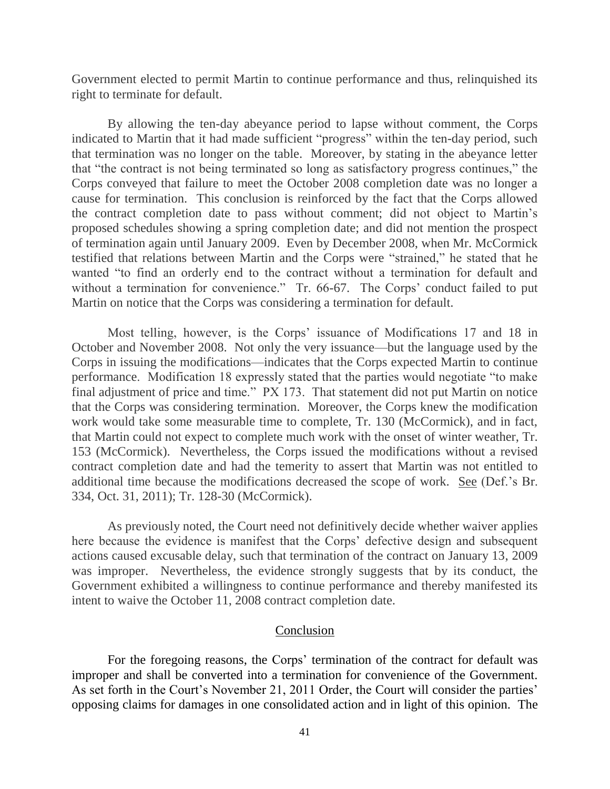Government elected to permit Martin to continue performance and thus, relinquished its right to terminate for default.

By allowing the ten-day abeyance period to lapse without comment, the Corps indicated to Martin that it had made sufficient "progress" within the ten-day period, such that termination was no longer on the table. Moreover, by stating in the abeyance letter that "the contract is not being terminated so long as satisfactory progress continues," the Corps conveyed that failure to meet the October 2008 completion date was no longer a cause for termination. This conclusion is reinforced by the fact that the Corps allowed the contract completion date to pass without comment; did not object to Martin's proposed schedules showing a spring completion date; and did not mention the prospect of termination again until January 2009. Even by December 2008, when Mr. McCormick testified that relations between Martin and the Corps were "strained," he stated that he wanted "to find an orderly end to the contract without a termination for default and without a termination for convenience." Tr. 66-67. The Corps' conduct failed to put Martin on notice that the Corps was considering a termination for default.

Most telling, however, is the Corps' issuance of Modifications 17 and 18 in October and November 2008. Not only the very issuance—but the language used by the Corps in issuing the modifications—indicates that the Corps expected Martin to continue performance. Modification 18 expressly stated that the parties would negotiate "to make final adjustment of price and time." PX 173. That statement did not put Martin on notice that the Corps was considering termination. Moreover, the Corps knew the modification work would take some measurable time to complete, Tr. 130 (McCormick), and in fact, that Martin could not expect to complete much work with the onset of winter weather, Tr. 153 (McCormick). Nevertheless, the Corps issued the modifications without a revised contract completion date and had the temerity to assert that Martin was not entitled to additional time because the modifications decreased the scope of work. See (Def.'s Br. 334, Oct. 31, 2011); Tr. 128-30 (McCormick).

As previously noted, the Court need not definitively decide whether waiver applies here because the evidence is manifest that the Corps' defective design and subsequent actions caused excusable delay, such that termination of the contract on January 13, 2009 was improper. Nevertheless, the evidence strongly suggests that by its conduct, the Government exhibited a willingness to continue performance and thereby manifested its intent to waive the October 11, 2008 contract completion date.

## Conclusion

For the foregoing reasons, the Corps' termination of the contract for default was improper and shall be converted into a termination for convenience of the Government. As set forth in the Court's November 21, 2011 Order, the Court will consider the parties' opposing claims for damages in one consolidated action and in light of this opinion. The